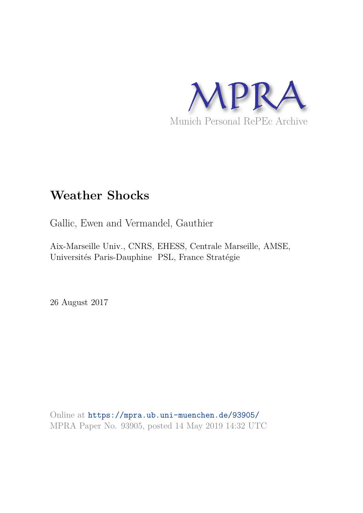

# **Weather Shocks**

Gallic, Ewen and Vermandel, Gauthier

Aix-Marseille Univ., CNRS, EHESS, Centrale Marseille, AMSE, Universités Paris-Dauphine PSL, France Stratégie

26 August 2017

Online at https://mpra.ub.uni-muenchen.de/93905/ MPRA Paper No. 93905, posted 14 May 2019 14:32 UTC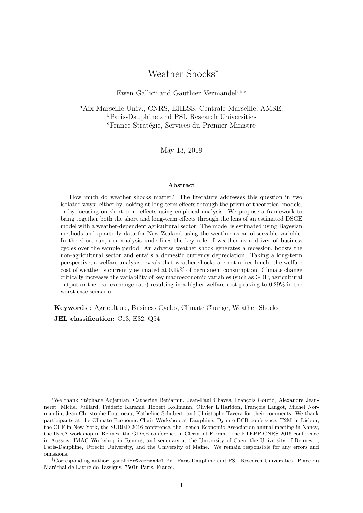## Weather Shocks<sup>∗</sup>

## Ewen Gallic<sup>a</sup> and Gauthier Vermandel<sup>†b,c</sup>

<sup>a</sup>Aix-Marseille Univ., CNRS, EHESS, Centrale Marseille, AMSE. <sup>b</sup>Paris-Dauphine and PSL Research Universities <sup>c</sup>France Stratégie, Services du Premier Ministre

May 13, 2019

#### Abstract

How much do weather shocks matter? The literature addresses this question in two isolated ways: either by looking at long-term effects through the prism of theoretical models, or by focusing on short-term effects using empirical analysis. We propose a framework to bring together both the short and long-term effects through the lens of an estimated DSGE model with a weather-dependent agricultural sector. The model is estimated using Bayesian methods and quarterly data for New Zealand using the weather as an observable variable. In the short-run, our analysis underlines the key role of weather as a driver of business cycles over the sample period. An adverse weather shock generates a recession, boosts the non-agricultural sector and entails a domestic currency depreciation. Taking a long-term perspective, a welfare analysis reveals that weather shocks are not a free lunch: the welfare cost of weather is currently estimated at 0.19% of permanent consumption. Climate change critically increases the variability of key macroeconomic variables (such as GDP, agricultural output or the real exchange rate) resulting in a higher welfare cost peaking to 0.29% in the worst case scenario.

Keywords : Agriculture, Business Cycles, Climate Change, Weather Shocks JEL classification: C13, E32, Q54

<sup>\*</sup>We thank Stéphane Adjemian, Catherine Benjamin, Jean-Paul Chavas, François Gourio, Alexandre Jeanneret, Michel Juillard, Frédéric Karamé, Robert Kollmann, Olivier L'Haridon, François Langot, Michel Normandin, Jean-Christophe Poutineau, Katheline Schubert, and Christophe Tavera for their comments. We thank participants at the Climate Economic Chair Workshop at Dauphine, Dynare-ECB conference, T2M in Lisbon, the CEF in New-York, the SURED 2016 conference, the French Economic Association annual meeting in Nancy, the INRA workshop in Rennes, the GDRE conference in Clermont-Ferrand, the ETEPP-CNRS 2016 conference in Aussois, IMAC Workshop in Rennes, and seminars at the University of Caen, the University of Rennes 1, Paris-Dauphine, Utrecht University, and the University of Maine. We remain responsible for any errors and omissions.

<sup>†</sup>Corresponding author: gauthier@vermandel.fr. Paris-Dauphine and PSL Research Universities. Place du Maréchal de Lattre de Tassigny, 75016 Paris, France.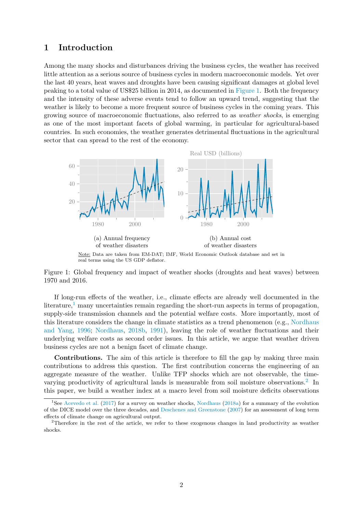## 1 Introduction

Among the many shocks and disturbances driving the business cycles, the weather has received little attention as a serious source of business cycles in modern macroeconomic models. Yet over the last 40 years, heat waves and droughts have been causing significant damages at global level peaking to a total value of US\$25 billion in 2014, as documented in Figure 1. Both the frequency and the intensity of these adverse events tend to follow an upward trend, suggesting that the weather is likely to become a more frequent source of business cycles in the coming years. This growing source of macroeconomic fluctuations, also referred to as weather shocks, is emerging as one of the most important facets of global warming, in particular for agricultural-based countries. In such economies, the weather generates detrimental fluctuations in the agricultural sector that can spread to the rest of the economy.



Note: Data are taken from EM-DAT; IMF, World Economic Outlook database and set in real terms using the US GDP deflator.

Figure 1: Global frequency and impact of weather shocks (droughts and heat waves) between 1970 and 2016.

If long-run effects of the weather, i.e., climate effects are already well documented in the literature, $\frac{1}{1}$  many uncertainties remain regarding the short-run aspects in terms of propagation, supply-side transmission channels and the potential welfare costs. More importantly, most of this literature considers the change in climate statistics as a trend phenomenon (e.g., Nordhaus and Yang, 1996; Nordhaus, 2018b, 1991), leaving the role of weather fluctuations and their underlying welfare costs as second order issues. In this article, we argue that weather driven business cycles are not a benign facet of climate change.

Contributions. The aim of this article is therefore to fill the gap by making three main contributions to address this question. The first contribution concerns the engineering of an aggregate measure of the weather. Unlike TFP shocks which are not observable, the timevarying productivity of agricultural lands is measurable from soil moisture observations.<sup>2</sup> In this paper, we build a weather index at a macro level from soil moisture deficits observations

<sup>&</sup>lt;sup>1</sup>See Acevedo et al. (2017) for a survey on weather shocks, Nordhaus (2018a) for a summary of the evolution of the DICE model over the three decades, and Deschenes and Greenstone (2007) for an assessment of long term effects of climate change on agricultural output.

<sup>&</sup>lt;sup>2</sup>Therefore in the rest of the article, we refer to these exogenous changes in land productivity as weather shocks.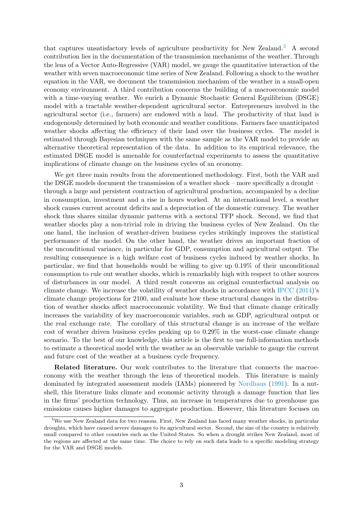that captures unsatisfactory levels of agriculture productivity for New Zealand.<sup>3</sup> A second contribution lies in the documentation of the transmission mechanisms of the weather. Through the lens of a Vector Auto-Regressive (VAR) model, we gauge the quantitative interaction of the weather with seven macroeconomic time series of New Zealand. Following a shock to the weather equation in the VAR, we document the transmission mechanism of the weather in a small-open economy environment. A third contribution concerns the building of a macroeconomic model with a time-varying weather. We enrich a Dynamic Stochastic General Equilibrium (DSGE) model with a tractable weather-dependent agricultural sector. Entrepreneurs involved in the agricultural sector (i.e., farmers) are endowed with a land. The productivity of that land is endogenously determined by both economic and weather conditions. Farmers face unanticipated weather shocks affecting the efficiency of their land over the business cycles. The model is estimated through Bayesian techniques with the same sample as the VAR model to provide an alternative theoretical representation of the data. In addition to its empirical relevance, the estimated DSGE model is amenable for counterfactual experiments to assess the quantitative implications of climate change on the business cycles of an economy.

We get three main results from the aforementioned methodology. First, both the VAR and the DSGE models document the transmission of a weather shock – more specifically a drought – through a large and persistent contraction of agricultural production, accompanied by a decline in consumption, investment and a rise in hours worked. At an international level, a weather shock causes current account deficits and a depreciation of the domestic currency. The weather shock thus shares similar dynamic patterns with a sectoral TFP shock. Second, we find that weather shocks play a non-trivial role in driving the business cycles of New Zealand. On the one hand, the inclusion of weather-driven business cycles strikingly improves the statistical performance of the model. On the other hand, the weather drives an important fraction of the unconditional variance, in particular for GDP, consumption and agricultural output. The resulting consequence is a high welfare cost of business cycles induced by weather shocks. In particular, we find that households would be willing to give up 0.19% of their unconditional consumption to rule out weather shocks, which is remarkably high with respect to other sources of disturbances in our model. A third result concerns an original counterfactual analysis on climate change. We increase the volatility of weather shocks in accordance with IPCC (2014)'s climate change projections for 2100, and evaluate how these structural changes in the distribution of weather shocks affect macroeconomic volatility. We find that climate change critically increases the variability of key macroeconomic variables, such as GDP, agricultural output or the real exchange rate. The corollary of this structural change is an increase of the welfare cost of weather driven business cycles peaking up to 0.29% in the worst-case climate change scenario. To the best of our knowledge, this article is the first to use full-information methods to estimate a theoretical model with the weather as an observable variable to gauge the current and future cost of the weather at a business cycle frequency.

Related literature. Our work contributes to the literature that connects the macroeconomy with the weather through the lens of theoretical models. This literature is mainly dominated by integrated assessment models (IAMs) pioneered by Nordhaus (1991). In a nutshell, this literature links climate and economic activity through a damage function that lies in the firms' production technology. Thus, an increase in temperatures due to greenhouse gas emissions causes higher damages to aggregate production. However, this literature focuses on

<sup>&</sup>lt;sup>3</sup>We use New Zealand data for two reasons. First, New Zealand has faced many weather shocks, in particular droughts, which have caused severe damages to its agricultural sector. Second, the size of the country is relatively small compared to other countries such as the United States. So when a drought strikes New Zealand, most of the regions are affected at the same time. The choice to rely on such data leads to a specific modeling strategy for the VAR and DSGE models.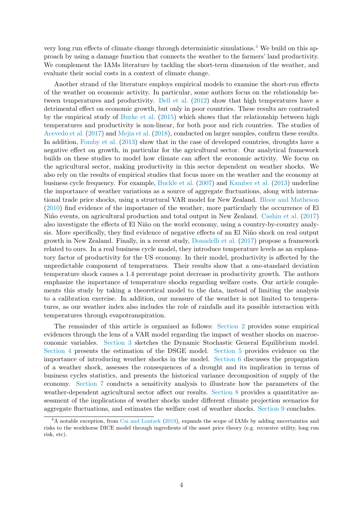very long run effects of climate change through deterministic simulations.<sup>4</sup> We build on this approach by using a damage function that connects the weather to the farmers' land productivity. We complement the IAMs literature by tackling the short-term dimension of the weather, and evaluate their social costs in a context of climate change.

Another strand of the literature employs empirical models to examine the short-run effects of the weather on economic activity. In particular, some authors focus on the relationship between temperatures and productivity. Dell et al. (2012) show that high temperatures have a detrimental effect on economic growth, but only in poor countries. These results are contrasted by the empirical study of Burke et al. (2015) which shows that the relationship between high temperatures and productivity is non-linear, for both poor and rich countries. The studies of Acevedo et al. (2017) and Mejia et al. (2018), conducted on larger samples, confirm these results. In addition, Fomby et al. (2013) show that in the case of developed countries, droughts have a negative effect on growth, in particular for the agricultural sector. Our analytical framework builds on these studies to model how climate can affect the economic activity. We focus on the agricultural sector, making productivity in this sector dependent on weather shocks. We also rely on the results of empirical studies that focus more on the weather and the economy at business cycle frequency. For example, Buckle et al. (2007) and Kamber et al. (2013) underline the importance of weather variations as a source of aggregate fluctuations, along with international trade price shocks, using a structural VAR model for New Zealand. Bloor and Matheson (2010) find evidence of the importance of the weather, more particularly the occurrence of El Niño events, on agricultural production and total output in New Zealand. Cashin et al. (2017) also investigate the effects of El Niño on the world economy, using a country-by-country analysis. More specifically, they find evidence of negative effects of an El Niño shock on real output growth in New Zealand. Finally, in a recent study, Donadelli et al. (2017) propose a framework related to ours. In a real business cycle model, they introduce temperature levels as an explanatory factor of productivity for the US economy. In their model, productivity is affected by the unpredictable component of temperatures. Their results show that a one-standard deviation temperature shock causes a 1.4 percentage point decrease in productivity growth. The authors emphasize the importance of temperature shocks regarding welfare costs. Our article complements this study by taking a theoretical model to the data, instead of limiting the analysis to a calibration exercise. In addition, our measure of the weather is not limited to temperatures, as our weather index also includes the role of rainfalls and its possible interaction with temperatures through evapotranspiration.

The remainder of this article is organized as follows: Section 2 provides some empirical evidences through the lens of a VAR model regarding the impact of weather shocks on macroeconomic variables. Section 3 sketches the Dynamic Stochastic General Equilibrium model. Section 4 presents the estimation of the DSGE model. Section 5 provides evidence on the importance of introducing weather shocks in the model. Section 6 discusses the propagation of a weather shock, assesses the consequences of a drought and its implication in terms of business cycles statistics, and presents the historical variance decomposition of supply of the economy. Section 7 conducts a sensitivity analysis to illustrate how the parameters of the weather-dependent agricultural sector affect our results. Section 8 provides a quantitative assessment of the implications of weather shocks under different climate projection scenarios for aggregate fluctuations, and estimates the welfare cost of weather shocks. Section 9 concludes.

<sup>&</sup>lt;sup>4</sup>A notable exception, from Cai and Lontzek (2019), expands the scope of IAMs by adding uncertainties and risks to the workhorse DICE model through ingredients of the asset price theory (e.g. recursive utility, long run risk, etc).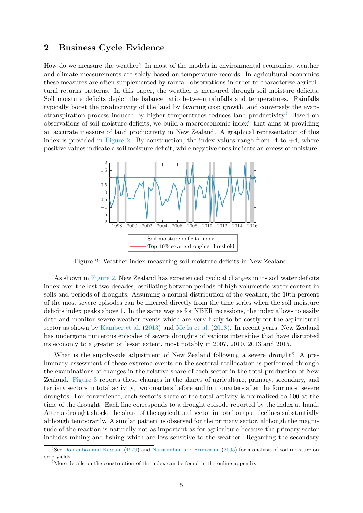## 2 Business Cycle Evidence

How do we measure the weather? In most of the models in environmental economics, weather and climate measurements are solely based on temperature records. In agricultural economics these measures are often supplemented by rainfall observations in order to characterize agricultural returns patterns. In this paper, the weather is measured through soil moisture deficits. Soil moisture deficits depict the balance ratio between rainfalls and temperatures. Rainfalls typically boost the productivity of the land by favoring crop growth, and conversely the evapotranspiration process induced by higher temperatures reduces land productivity.<sup>5</sup> Based on observations of soil moisture deficits, we build a macroeconomic index<sup>6</sup> that aims at providing an accurate measure of land productivity in New Zealand. A graphical representation of this index is provided in Figure 2. By construction, the index values range from  $-4$  to  $+4$ , where positive values indicate a soil moisture deficit, while negative ones indicate an excess of moisture.



Figure 2: Weather index measuring soil moisture deficits in New Zealand.

As shown in Figure 2, New Zealand has experienced cyclical changes in its soil water deficits index over the last two decades, oscillating between periods of high volumetric water content in soils and periods of droughts. Assuming a normal distribution of the weather, the 10th percent of the most severe episodes can be inferred directly from the time series when the soil moisture deficits index peaks above 1. In the same way as for NBER recessions, the index allows to easily date and monitor severe weather events which are very likely to be costly for the agricultural sector as shown by Kamber et al. (2013) and Mejia et al. (2018). In recent years, New Zealand has undergone numerous episodes of severe droughts of various intensities that have disrupted its economy to a greater or lesser extent, most notably in 2007, 2010, 2013 and 2015.

What is the supply-side adjustment of New Zealand following a severe drought? A preliminary assessment of these extreme events on the sectoral reallocation is performed through the examinations of changes in the relative share of each sector in the total production of New Zealand. Figure 3 reports these changes in the shares of agriculture, primary, secondary, and tertiary sectors in total activity, two quarters before and four quarters after the four most severe droughts. For convenience, each sector's share of the total activity is normalized to 100 at the time of the drought. Each line corresponds to a drought episode reported by the index at hand. After a drought shock, the share of the agricultural sector in total output declines substantially although temporarily. A similar pattern is observed for the primary sector, although the magnitude of the reaction is naturally not as important as for agriculture because the primary sector includes mining and fishing which are less sensitive to the weather. Regarding the secondary

<sup>5</sup>See Doorenbos and Kassam (1979) and Narasimhan and Srinivasan (2005) for a analysis of soil moisture on crop yields.

 $6$ More details on the construction of the index can be found in the online appendix.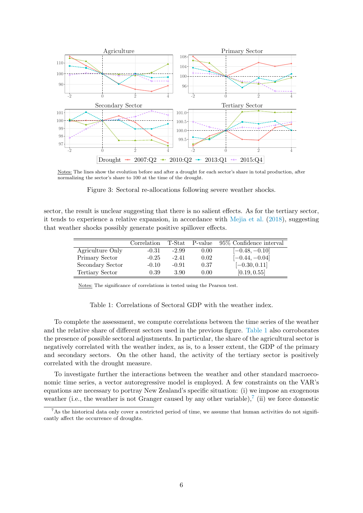

Notes: The lines show the evolution before and after a drought for each sector's share in total production, after normalizing the sector's share to 100 at the time of the drought.

Figure 3: Sectoral re-allocations following severe weather shocks.

sector, the result is unclear suggesting that there is no salient effects. As for the tertiary sector, it tends to experience a relative expansion, in accordance with Mejia et al. (2018), suggesting that weather shocks possibly generate positive spillover effects.

|                  | Correlation | T-Stat  | P-value | 95\% Confidence interval |
|------------------|-------------|---------|---------|--------------------------|
| Agriculture Only | $-0.31$     | $-2.99$ | 0.00    | $[-0.48, -0.10]$         |
| Primary Sector   | $-0.25$     | $-2.41$ | 0.02    | $[-0.44, -0.04]$         |
| Secondary Sector | $-0.10$     | $-0.91$ | 0.37    | $[-0.30, 0.11]$          |
| Tertiary Sector  | 0.39        | 3.90    | 0.00    | [0.19, 0.55]             |
|                  |             |         |         |                          |

Notes: The significance of correlations is tested using the Pearson test.

Table 1: Correlations of Sectoral GDP with the weather index.

To complete the assessment, we compute correlations between the time series of the weather and the relative share of different sectors used in the previous figure. Table 1 also corroborates the presence of possible sectoral adjustments. In particular, the share of the agricultural sector is negatively correlated with the weather index, as is, to a lesser extent, the GDP of the primary and secondary sectors. On the other hand, the activity of the tertiary sector is positively correlated with the drought measure.

To investigate further the interactions between the weather and other standard macroeconomic time series, a vector autoregressive model is employed. A few constraints on the VAR's equations are necessary to portray New Zealand's specific situation: (i) we impose an exogenous weather (i.e., the weather is not Granger caused by any other variable),<sup>7</sup> (ii) we force domestic

<sup>&</sup>lt;sup>7</sup>As the historical data only cover a restricted period of time, we assume that human activities do not significantly affect the occurrence of droughts.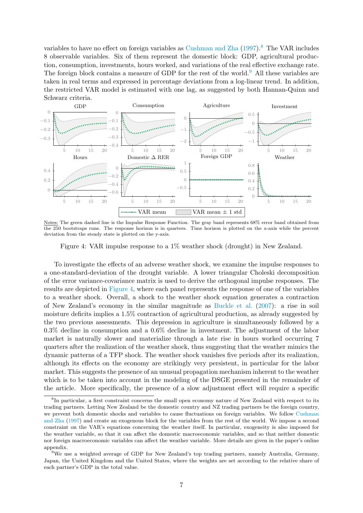variables to have no effect on foreign variables as Cushman and Zha (1997).<sup>8</sup> The VAR includes 8 observable variables. Six of them represent the domestic block: GDP, agricultural production, consumption, investments, hours worked, and variations of the real effective exchange rate. The foreign block contains a measure of GDP for the rest of the world.<sup>9</sup> All these variables are taken in real terms and expressed in percentage deviations from a log-linear trend. In addition, the restricted VAR model is estimated with one lag, as suggested by both Hannan-Quinn and Schwarz criteria.



Notes: The green dashed line is the Impulse Response Function. The gray band represents 68% error band obtained from the 250 bootstraps runs. The response horizon is in quarters. Time horizon is plotted on the x-axis while the percent deviation from the steady state is plotted on the y-axis.

Figure 4: VAR impulse response to a 1% weather shock (drought) in New Zealand.

To investigate the effects of an adverse weather shock, we examine the impulse responses to a one-standard-deviation of the drought variable. A lower triangular Choleski decomposition of the error variance-covariance matrix is used to derive the orthogonal impulse responses. The results are depicted in Figure 4, where each panel represents the response of one of the variables to a weather shock. Overall, a shock to the weather shock equation generates a contraction of New Zealand's economy in the similar magnitude as Buckle et al. (2007): a rise in soil moisture deficits implies a 1.5% contraction of agricultural production, as already suggested by the two previous assessments. This depression in agriculture is simultaneously followed by a 0.3% decline in consumption and a 0.6% decline in investment. The adjustment of the labor market is naturally slower and materialize through a late rise in hours worked occurring 7 quarters after the realization of the weather shock, thus suggesting that the weather mimics the dynamic patterns of a TFP shock. The weather shock vanishes five periods after its realization, although its effects on the economy are strikingly very persistent, in particular for the labor market. This suggests the presence of an unusual propagation mechanism inherent to the weather which is to be taken into account in the modeling of the DSGE presented in the remainder of the article. More specifically, the presence of a slow adjustment effect will require a specific

<sup>&</sup>lt;sup>8</sup>In particular, a first constraint concerns the small open economy nature of New Zealand with respect to its trading partners. Letting New Zealand be the domestic country and NZ trading partners be the foreign country, we prevent both domestic shocks and variables to cause fluctuations on foreign variables. We follow Cushman and Zha (1997) and create an exogenous block for the variables from the rest of the world. We impose a second constraint on the VAR's equations concerning the weather itself. In particular, exogeneity is also imposed for the weather variable, so that it can affect the domestic macroeconomic variables, and so that neither domestic nor foreign macroeconomic variables can affect the weather variable. More details are given in the paper's online appendix.

<sup>9</sup>We use a weighted average of GDP for New Zealand's top trading partners, namely Australia, Germany, Japan, the United Kingdom and the United States, where the weights are set according to the relative share of each partner's GDP in the total value.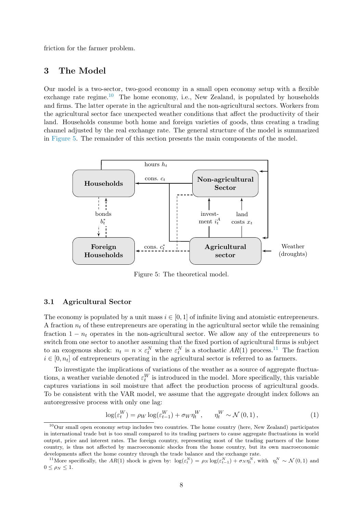friction for the farmer problem.

## 3 The Model

Our model is a two-sector, two-good economy in a small open economy setup with a flexible exchange rate regime.<sup>10</sup> The home economy, i.e., New Zealand, is populated by households and firms. The latter operate in the agricultural and the non-agricultural sectors. Workers from the agricultural sector face unexpected weather conditions that affect the productivity of their land. Households consume both home and foreign varieties of goods, thus creating a trading channel adjusted by the real exchange rate. The general structure of the model is summarized in Figure 5. The remainder of this section presents the main components of the model.



Figure 5: The theoretical model.

#### 3.1 Agricultural Sector

The economy is populated by a unit mass  $i \in [0, 1]$  of infinite living and atomistic entrepreneurs. A fraction  $n_t$  of these entrepreneurs are operating in the agricultural sector while the remaining fraction  $1 - n_t$  operates in the non-agricultural sector. We allow any of the entrepreneurs to switch from one sector to another assuming that the fixed portion of agricultural firms is subject to an exogenous shock:  $n_t = n \times \varepsilon_t^N$  where  $\varepsilon_t^N$  is a stochastic  $AR(1)$  process.<sup>11</sup> The fraction  $i \in [0, n_t]$  of entrepreneurs operating in the agricultural sector is referred to as farmers.

To investigate the implications of variations of the weather as a source of aggregate fluctuations, a weather variable denoted  $\varepsilon_t^W$  is introduced in the model. More specifically, this variable captures variations in soil moisture that affect the production process of agricultural goods. To be consistent with the VAR model, we assume that the aggregate drought index follows an autoregressive process with only one lag:

$$
\log(\varepsilon_t^W) = \rho_W \log(\varepsilon_{t-1}^W) + \sigma_W \eta_t^W, \qquad \eta_t^W \sim \mathcal{N}(0, 1), \tag{1}
$$

<sup>10</sup>Our small open economy setup includes two countries. The home country (here, New Zealand) participates in international trade but is too small compared to its trading partners to cause aggregate fluctuations in world output, price and interest rates. The foreign country, representing most of the trading partners of the home country, is thus not affected by macroeconomic shocks from the home country, but its own macroeconomic developments affect the home country through the trade balance and the exchange rate.

<sup>&</sup>lt;sup>11</sup>More specifically, the AR(1) shock is given by:  $\log(\varepsilon_t^N) = \rho_N \log(\varepsilon_{t-1}^N) + \sigma_N \eta_t^N$ , with  $\eta_t^N \sim \mathcal{N}(0, 1)$  and  $0 \leq \rho_N \leq 1$ .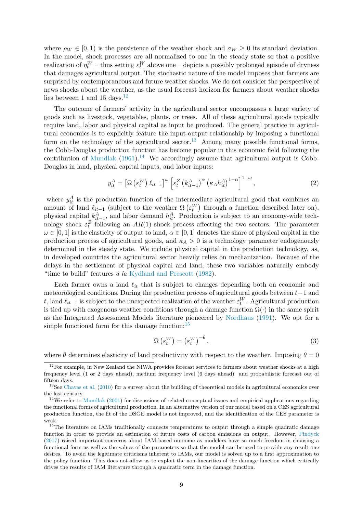where  $\rho_W \in [0, 1)$  is the persistence of the weather shock and  $\sigma_W \geq 0$  its standard deviation. In the model, shock processes are all normalized to one in the steady state so that a positive realization of  $\eta_t^W$  – thus setting  $\varepsilon_t^W$  above one – depicts a possibly prolonged episode of dryness that damages agricultural output. The stochastic nature of the model imposes that farmers are surprised by contemporaneous and future weather shocks. We do not consider the perspective of news shocks about the weather, as the usual forecast horizon for farmers about weather shocks lies between 1 and 15 days.<sup>12</sup>

The outcome of farmers' activity in the agricultural sector encompasses a large variety of goods such as livestock, vegetables, plants, or trees. All of these agricultural goods typically require land, labor and physical capital as input be produced. The general practice in agricultural economics is to explicitly feature the input-output relationship by imposing a functional form on the technology of the agricultural sector.<sup>13</sup> Among many possible functional forms, the Cobb-Douglas production function has become popular in this economic field following the contribution of Mundlak  $(1961).<sup>14</sup>$  We accordingly assume that agricultural output is Cobb-Douglas in land, physical capital inputs, and labor inputs:

$$
y_{it}^{A} = \left[\Omega\left(\varepsilon_{t}^{W}\right)\ell_{it-1}\right]^{\omega}\left[\varepsilon_{t}^{Z}\left(k_{it-1}^{A}\right)^{\alpha}\left(\kappa_{A}h_{it}^{A}\right)^{1-\alpha}\right]^{1-\omega},\tag{2}
$$

where  $y_{it}^A$  is the production function of the intermediate agricultural good that combines an amount of land  $\ell_{it-1}$  (subject to the weather  $\Omega\left(\varepsilon_t^W\right)$  through a function described later on), physical capital  $k_{it-1}^A$ , and labor demand  $h_{it}^A$ . Production is subject to an economy-wide technology shock  $\varepsilon_t^Z$  following an  $AR(1)$  shock process affecting the two sectors. The parameter  $\omega \in [0, 1]$  is the elasticity of output to land,  $\alpha \in [0, 1]$  denotes the share of physical capital in the production process of agricultural goods, and  $\kappa_A > 0$  is a technology parameter endogenously determined in the steady state. We include physical capital in the production technology, as, in developed countries the agricultural sector heavily relies on mechanization. Because of the delays in the settlement of physical capital and land, these two variables naturally embody "time to build" features  $\dot{a}$  la Kydland and Prescott (1982).

Each farmer owns a land  $\ell_{it}$  that is subject to changes depending both on economic and meteorological conditions. During the production process of agricultural goods between t−1 and t, land  $\ell_{it-1}$  is subject to the unexpected realization of the weather  $\varepsilon_t^W$ . Agricultural production is tied up with exogenous weather conditions through a damage function  $\Omega(\cdot)$  in the same spirit as the Integrated Assessment Models literature pioneered by Nordhaus (1991). We opt for a simple functional form for this damage function:  $15$ 

$$
\Omega\left(\varepsilon_t^W\right) = \left(\varepsilon_t^W\right)^{-\theta},\tag{3}
$$

where  $\theta$  determines elasticity of land productivity with respect to the weather. Imposing  $\theta = 0$ 

<sup>&</sup>lt;sup>12</sup>For example, in New Zealand the NIWA provides forecast services to farmers about weather shocks at a high frequency level (1 or 2 days ahead), medium frequency level (6 days ahead) and probabilistic forecast out of fifteen days.

<sup>&</sup>lt;sup>13</sup>See Chavas et al. (2010) for a survey about the building of theoretical models in agricultural economics over the last century.

<sup>&</sup>lt;sup>14</sup>We refer to Mundlak (2001) for discussions of related conceptual issues and empirical applications regarding the functional forms of agricultural production. In an alternative version of our model based on a CES agricultural production function, the fit of the DSGE model is not improved, and the identification of the CES parameter is weak.

<sup>&</sup>lt;sup>15</sup>The literature on IAMs traditionally connects temperatures to output through a simple quadratic damage function in order to provide an estimation of future costs of carbon emissions on output. However, Pindyck (2017) raised important concerns about IAM-based outcome as modelers have so much freedom in choosing a functional form as well as the values of the parameters so that the model can be used to provide any result one desires. To avoid the legitimate criticisms inherent to IAMs, our model is solved up to a first approximation to the policy function. This does not allow us to exploit the non-linearities of the damage function which critically drives the results of IAM literature through a quadratic term in the damage function.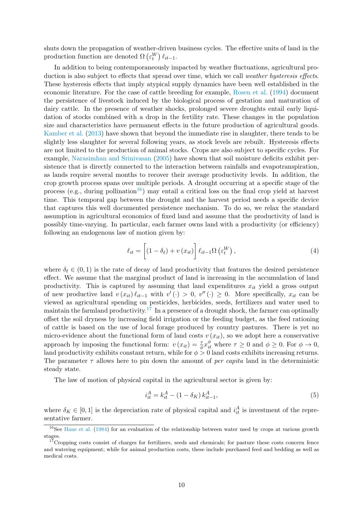shuts down the propagation of weather-driven business cycles. The effective units of land in the production function are denoted  $\Omega \left( \varepsilon_{t}^{W} \right) \ell_{it-1}$ .

In addition to being contemporaneously impacted by weather fluctuations, agricultural production is also subject to effects that spread over time, which we call *weather hysteresis effects*. These hysteresis effects that imply atypical supply dynamics have been well established in the economic literature. For the case of cattle breeding for example, Rosen et al. (1994) document the persistence of livestock induced by the biological process of gestation and maturation of dairy cattle. In the presence of weather shocks, prolonged severe droughts entail early liquidation of stocks combined with a drop in the fertility rate. These changes in the population size and characteristics have permanent effects in the future production of agricultural goods. Kamber et al. (2013) have shown that beyond the immediate rise in slaughter, there tends to be slightly less slaughter for several following years, as stock levels are rebuilt. Hysteresis effects are not limited to the production of animal stocks. Crops are also subject to specific cycles. For example, Narasimhan and Srinivasan (2005) have shown that soil moisture deficits exhibit persistence that is directly connected to the interaction between rainfalls and evapotranspiration, as lands require several months to recover their average productivity levels. In addition, the crop growth process spans over multiple periods. A drought occurring at a specific stage of the process (e.g., during pollination<sup>16</sup>) may entail a critical loss on the final crop yield at harvest time. This temporal gap between the drought and the harvest period needs a specific device that captures this well documented persistence mechanism. To do so, we relax the standard assumption in agricultural economics of fixed land and assume that the productivity of land is possibly time-varying. In particular, each farmer owns land with a productivity (or efficiency) following an endogenous law of motion given by:

$$
\ell_{it} = \left[ (1 - \delta_{\ell}) + v(x_{it}) \right] \ell_{it-1} \Omega \left( \varepsilon_t^W \right), \tag{4}
$$

where  $\delta_{\ell} \in (0,1)$  is the rate of decay of land productivity that features the desired persistence effect. We assume that the marginal product of land is increasing in the accumulation of land productivity. This is captured by assuming that land expenditures  $x_{it}$  yield a gross output of new productive land  $v(x_{it}) \ell_{it-1}$  with  $v'(\cdot) > 0$ ,  $v''(\cdot) \geq 0$ . More specifically,  $x_{it}$  can be viewed as agricultural spending on pesticides, herbicides, seeds, fertilizers and water used to maintain the farmland productivity.<sup>17</sup> In a presence of a drought shock, the farmer can optimally offset the soil dryness by increasing field irrigation or the feeding budget, as the feed rationing of cattle is based on the use of local forage produced by country pastures. There is yet no micro-evidence about the functional form of land costs  $v(x_{it})$ , so we adopt here a conservative approach by imposing the functional form:  $v(x_{it}) = \frac{\tau}{\phi} x_{it}^{\phi}$  where  $\tau \geq 0$  and  $\phi \geq 0$ . For  $\phi \to 0$ , land productivity exhibits constant return, while for  $\phi > 0$  land costs exhibits increasing returns. The parameter  $\tau$  allows here to pin down the amount of *per capita* land in the deterministic steady state.

The law of motion of physical capital in the agricultural sector is given by:

$$
i_{it}^A = k_{it}^A - (1 - \delta_K) k_{it-1}^A,
$$
\n(5)

where  $\delta_K \in [0,1]$  is the depreciation rate of physical capital and  $i_{it}^A$  is investment of the representative farmer.

<sup>&</sup>lt;sup>16</sup>See Hane et al. (1984) for an evaluation of the relationship between water used by crops at various growth stages.

 $17$ Cropping costs consist of charges for fertilizers, seeds and chemicals; for pasture these costs concern fence and watering equipment; while for animal production costs, these include purchased feed and bedding as well as medical costs.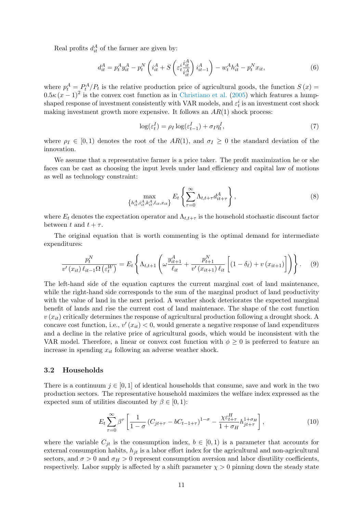Real profits  $d_{it}^A$  of the farmer are given by:

$$
d_{it}^A = p_t^A y_{it}^A - p_t^N \left( i_{it}^A + S \left( \varepsilon_t^i \frac{i_{it}^A}{i_{it}^A} \right) i_{it-1}^A \right) - w_t^A h_{it}^A - p_t^N x_{it}, \tag{6}
$$

where  $p_t^A = P_t^A/P_t$  is the relative production price of agricultural goods, the function  $S(x)$  $0.5\kappa (x-1)^2$  is the convex cost function as in Christiano et al. (2005) which features a humpshaped response of investment consistently with VAR models, and  $\varepsilon_t^i$  is an investment cost shock making investment growth more expensive. It follows an  $AR(1)$  shock process:

$$
\log(\varepsilon_t^I) = \rho_I \log(\varepsilon_{t-1}^I) + \sigma_I \eta_t^I,\tag{7}
$$

where  $\rho_I \in [0,1)$  denotes the root of the  $AR(1)$ , and  $\sigma_I \geq 0$  the standard deviation of the innovation.

We assume that a representative farmer is a price taker. The profit maximization he or she faces can be cast as choosing the input levels under land efficiency and capital law of motions as well as technology constraint:

$$
\max_{\{h_{it}^A, i_{it}^A, k_{it}^A, \ell_{it}, x_{it}\}} E_t \left\{ \sum_{\tau=0}^{\infty} \Lambda_{t, t+\tau} d_{it+\tau}^A \right\},\tag{8}
$$

where  $E_t$  denotes the expectation operator and  $\Lambda_{t,t+\tau}$  is the household stochastic discount factor between t and  $t + \tau$ .

The original equation that is worth commenting is the optimal demand for intermediate expenditures:

$$
\frac{p_t^N}{v'(x_{it})\,\ell_{it-1}\Omega\left(\varepsilon_t^W\right)} = E_t\left\{\Lambda_{t,t+1}\left(\omega\frac{y_{it+1}^A}{\ell_{it}} + \frac{p_{t+1}^N}{v'(x_{it+1})\,\ell_{it}}\left[(1-\delta_\ell) + v\left(x_{it+1}\right)\right]\right)\right\}.\tag{9}
$$

The left-hand side of the equation captures the current marginal cost of land maintenance, while the right-hand side corresponds to the sum of the marginal product of land productivity with the value of land in the next period. A weather shock deteriorates the expected marginal benefit of lands and rise the current cost of land maintenace. The shape of the cost function  $v(x_{it})$  critically determines the response of agricultural production following a drought shock. A concave cost function, i.e.,  $v'(x_{it}) < 0$ , would generate a negative response of land expenditures and a decline in the relative price of agricultural goods, which would be inconsistent with the VAR model. Therefore, a linear or convex cost function with  $\phi \geq 0$  is preferred to feature an increase in spending  $x_{it}$  following an adverse weather shock.

#### 3.2 Households

There is a continuum  $j \in [0, 1]$  of identical households that consume, save and work in the two production sectors. The representative household maximizes the welfare index expressed as the expected sum of utilities discounted by  $\beta \in [0, 1)$ :

$$
E_t \sum_{\tau=0}^{\infty} \beta^{\tau} \left[ \frac{1}{1-\sigma} \left( C_{jt+\tau} - b C_{t-1+\tau} \right)^{1-\sigma} - \frac{\chi \varepsilon_{t+\tau}^H}{1+\sigma_H} h_{jt+\tau}^{1+\sigma_H} \right], \tag{10}
$$

where the variable  $C_{jt}$  is the consumption index,  $b \in [0,1)$  is a parameter that accounts for external consumption habits,  $h_{it}$  is a labor effort index for the agricultural and non-agricultural sectors, and  $\sigma > 0$  and  $\sigma_H > 0$  represent consumption aversion and labor disutility coefficients, respectively. Labor supply is affected by a shift parameter  $\chi > 0$  pinning down the steady state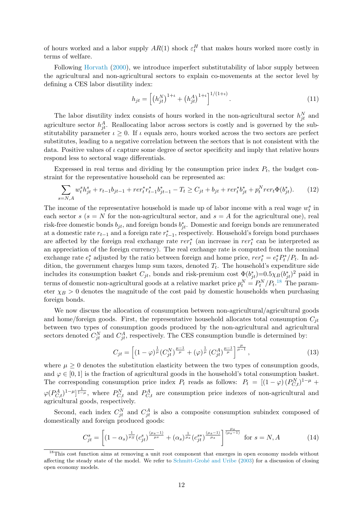of hours worked and a labor supply  $AR(1)$  shock  $\varepsilon_t^H$  that makes hours worked more costly in terms of welfare.

Following Horvath (2000), we introduce imperfect substitutability of labor supply between the agricultural and non-agricultural sectors to explain co-movements at the sector level by defining a CES labor disutility index:

$$
h_{jt} = \left[ \left( h_{jt}^N \right)^{1+t} + \left( h_{jt}^A \right)^{1+t} \right]^{1/(1+t)}.
$$
\n(11)

The labor disutility index consists of hours worked in the non-agricultural sector  $h_{jt}^N$  and agriculture sector  $h_{jt}^A$ . Reallocating labor across sectors is costly and is governed by the substitutability parameter  $\iota \geq 0$ . If  $\iota$  equals zero, hours worked across the two sectors are perfect substitutes, leading to a negative correlation between the sectors that is not consistent with the data. Positive values of  $\iota$  capture some degree of sector specificity and imply that relative hours respond less to sectoral wage differentials.

Expressed in real terms and dividing by the consumption price index  $P_t$ , the budget constraint for the representative household can be represented as:

$$
\sum_{s=N,A} w_t^s h_{jt}^s + r_{t-1} b_{jt-1} + r e r_t^* r_{t-1}^* b_{jt-1}^* - T_t \ge C_{jt} + b_{jt} + r e r_t^* b_{jt}^* + p_t^N r e r_t \Phi(b_{jt}^*). \tag{12}
$$

The income of the representative household is made up of labor income with a real wage  $w_t^s$  in each sector s ( $s = N$  for the non-agricultural sector, and  $s = A$  for the agricultural one), real risk-free domestic bonds  $b_{jt}$ , and foreign bonds  $b_{jt}^*$ . Domestic and foreign bonds are remunerated at a domestic rate  $r_{t-1}$  and a foreign rate  $r_{t-1}^*$ , respectively. Household's foreign bond purchases are affected by the foreign real exchange rate  $rer_t^*$  (an increase in  $rer_t^*$  can be interpreted as an appreciation of the foreign currency). The real exchange rate is computed from the nominal exchange rate  $e_t^*$  adjusted by the ratio between foreign and home price,  $rer_t^* = e_t^* P_t^* / P_t$ . In addition, the government charges lump sum taxes, denoted  $T_t$ . The household's expenditure side includes its consumption basket  $C_{jt}$ , bonds and risk-premium cost  $\Phi(b_{jt}^*)=0.5\chi_B(b_{jt}^*)^2$  paid in terms of domestic non-agricultural goods at a relative market price  $p_t^N = P_t^N/P_t$ .<sup>18</sup> The parameter  $\chi_B > 0$  denotes the magnitude of the cost paid by domestic households when purchasing foreign bonds.

We now discuss the allocation of consumption between non-agricultural/agricultural goods and home/foreign goods. First, the representative household allocates total consumption  $C_{it}$ between two types of consumption goods produced by the non-agricultural and agricultural sectors denoted  $C_{jt}^N$  and  $C_{jt}^A$ , respectively. The CES consumption bundle is determined by:

$$
C_{jt} = \left[ (1 - \varphi)^{\frac{1}{\mu}} (C_{jt}^N)^{\frac{\mu - 1}{\mu}} + (\varphi)^{\frac{1}{\mu}} (C_{jt}^A)^{\frac{\mu - 1}{\mu}} \right]^{\frac{\mu}{\mu - 1}},
$$
\n(13)

where  $\mu \geq 0$  denotes the substitution elasticity between the two types of consumption goods, and  $\varphi \in [0, 1]$  is the fraction of agricultural goods in the household's total consumption basket. The corresponding consumption price index  $P_t$  reads as follows:  $P_t = [(1 - \varphi)(P_{C,t}^N)^{1-\mu} +$  $\varphi(P_{C,t}^A)^{1-\mu}$ , where  $P_{C,t}^N$  and  $P_{C,t}^A$  are consumption price indexes of non-agricultural and agricultural goods, respectively.

Second, each index  $C_{jt}^N$  and  $C_{jt}^A$  is also a composite consumption subindex composed of domestically and foreign produced goods:

$$
C_{jt}^{s} = \left[ (1 - \alpha_s)^{\frac{1}{\mu_S}} (c_{jt}^{s})^{\frac{(\mu_s - 1)}{\mu_s}} + (\alpha_s)^{\frac{1}{\mu_s}} (c_{jt}^{s*})^{\frac{(\mu_s - 1)}{\mu_s}} \right]^{\frac{\mu_s}{(\mu_s - 1)}} \text{ for } s = N, A \tag{14}
$$

<sup>&</sup>lt;sup>18</sup>This cost function aims at removing a unit root component that emerges in open economy models without affecting the steady state of the model. We refer to Schmitt-Grohé and Uribe (2003) for a discussion of closing open economy models.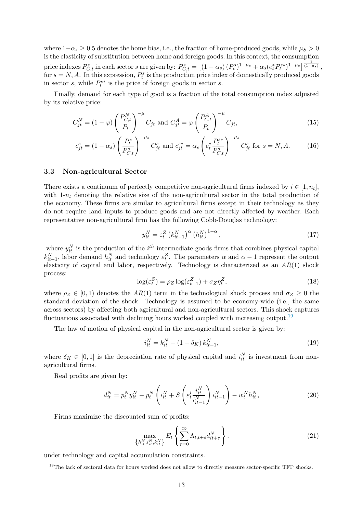where  $1-\alpha_s \geq 0.5$  denotes the home bias, i.e., the fraction of home-produced goods, while  $\mu_S > 0$ is the elasticity of substitution between home and foreign goods. In this context, the consumption price indexes  $P_{C,t}^s$  in each sector s are given by:  $P_{C,t}^s = \left[ \left(1 - \alpha_s\right) (P_t^s)^{1-\mu_s} + \alpha_s (e_t^* P_t^{s*})^{1-\mu_s} \right]^\frac{1}{(1-\mu_s)}$ for  $s = N, A$ . In this expression,  $P_t^s$  is the production price index of domestically produced goods in sector s, while  $P_t^{s*}$  is the price of foreign goods in sector s.

Finally, demand for each type of good is a fraction of the total consumption index adjusted by its relative price:

$$
C_{jt}^N = (1 - \varphi) \left(\frac{P_{C,t}^N}{P_t}\right)^{-\mu} C_{jt} \text{ and } C_{jt}^A = \varphi \left(\frac{P_{C,t}^A}{P_t}\right)^{-\mu} C_{jt},\tag{15}
$$

$$
c_{jt}^{s} = (1 - \alpha_{s}) \left(\frac{P_{t}^{s}}{P_{C,t}^{s}}\right)^{-\mu_{s}} C_{jt}^{s} \text{ and } c_{jt}^{s*} = \alpha_{s} \left(e_{t}^{*} \frac{P_{t}^{s*}}{P_{C,t}^{s}}\right)^{-\mu_{s}} C_{jt}^{s} \text{ for } s = N, A. \tag{16}
$$

#### 3.3 Non-agricultural Sector

There exists a continuum of perfectly competitive non-agricultural firms indexed by  $i \in [1, n_t]$ , with  $1-n_t$  denoting the relative size of the non-agricultural sector in the total production of the economy. These firms are similar to agricultural firms except in their technology as they do not require land inputs to produce goods and are not directly affected by weather. Each representative non-agricultural firm has the following Cobb-Douglas technology:

$$
y_{it}^N = \varepsilon_t^Z \left( k_{it-1}^N \right)^{\alpha} \left( h_{it}^N \right)^{1-\alpha},\tag{17}
$$

where  $y_{it}^N$  is the production of the  $i^{th}$  intermediate goods firms that combines physical capital  $k_{it-1}^N$ , labor demand  $h_{it}^N$  and technology  $\varepsilon_t^Z$ . The parameters  $\alpha$  and  $\alpha - 1$  represent the output elasticity of capital and labor, respectively. Technology is characterized as an  $AR(1)$  shock process:

$$
\log(\varepsilon_t^Z) = \rho_Z \log(\varepsilon_{t-1}^Z) + \sigma_Z \eta_t^Z,\tag{18}
$$

where  $\rho_Z \in [0,1)$  denotes the  $AR(1)$  term in the technological shock process and  $\sigma_Z \geq 0$  the standard deviation of the shock. Technology is assumed to be economy-wide (i.e., the same across sectors) by affecting both agricultural and non-agricultural sectors. This shock captures fluctuations associated with declining hours worked coupled with increasing output.<sup>19</sup>

The law of motion of physical capital in the non-agricultural sector is given by:

$$
i_{it}^N = k_{it}^N - (1 - \delta_K) k_{it-1}^N,
$$
\n(19)

where  $\delta_K \in [0,1]$  is the depreciation rate of physical capital and  $i_{it}^N$  is investment from nonagricultural firms.

Real profits are given by:

$$
d_{it}^{N} = p_{t}^{N} y_{it}^{N} - p_{t}^{N} \left( i_{it}^{N} + S \left( \varepsilon_{t}^{i} \frac{i_{it}^{N}}{i_{it-1}^{N}} \right) i_{it-1}^{N} \right) - w_{t}^{N} h_{it}^{N}, \tag{20}
$$

Firms maximize the discounted sum of profits:

$$
\max_{\left\{h_{it}^N, i_{it}^N, k_{it}^N\right\}} E_t \left\{ \sum_{\tau=0}^{\infty} \Lambda_{t,t+s} d_{it+\tau}^N \right\}.
$$
\n(21)

under technology and capital accumulation constraints.

<sup>&</sup>lt;sup>19</sup>The lack of sectoral data for hours worked does not allow to directly measure sector-specific TFP shocks.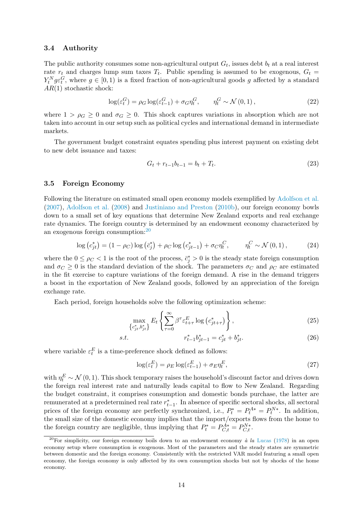#### 3.4 Authority

The public authority consumes some non-agricultural output  $G_t$ , issues debt  $b_t$  at a real interest rate  $r_t$  and charges lump sum taxes  $T_t$ . Public spending is assumed to be exogenous,  $G_t$  $Y_t^N g \varepsilon_t^G$ , where  $g \in [0, 1)$  is a fixed fraction of non-agricultural goods g affected by a standard  $AR(1)$  stochastic shock:

$$
\log(\varepsilon_t^G) = \rho_G \log(\varepsilon_{t-1}^G) + \sigma_G \eta_t^G, \qquad \eta_t^G \sim \mathcal{N}(0, 1), \tag{22}
$$

where  $1 > \rho_G \geq 0$  and  $\sigma_G \geq 0$ . This shock captures variations in absorption which are not taken into account in our setup such as political cycles and international demand in intermediate markets.

The government budget constraint equates spending plus interest payment on existing debt to new debt issuance and taxes:

$$
G_t + r_{t-1}b_{t-1} = b_t + T_t. \t\t(23)
$$

#### 3.5 Foreign Economy

Following the literature on estimated small open economy models exemplified by Adolfson et al. (2007), Adolfson et al. (2008) and Justiniano and Preston (2010b), our foreign economy bowls down to a small set of key equations that determine New Zealand exports and real exchange rate dynamics. The foreign country is determined by an endowment economy characterized by an exogenous foreign consumption:<sup>20</sup>

$$
\log\left(c_{jt}^{*}\right) = \left(1 - \rho_{C}\right)\log\left(\bar{c}_{j}^{*}\right) + \rho_{C}\log\left(c_{jt-1}^{*}\right) + \sigma_{C}\eta_{t}^{C}, \qquad \eta_{t}^{C} \sim \mathcal{N}\left(0, 1\right),\tag{24}
$$

where the  $0 \leq \rho_C < 1$  is the root of the process,  $\bar{c}_j^* > 0$  is the steady state foreign consumption and  $\sigma_C \geq 0$  is the standard deviation of the shock. The parameters  $\sigma_C$  and  $\rho_C$  are estimated in the fit exercise to capture variations of the foreign demand. A rise in the demand triggers a boost in the exportation of New Zealand goods, followed by an appreciation of the foreign exchange rate.

Each period, foreign households solve the following optimization scheme:

$$
\max_{\left\{c_{jt}^*, b_{jt}^*\right\}} E_t \left\{ \sum_{\tau=0}^{\infty} \beta^{\tau} \varepsilon_{t+\tau}^E \log\left(c_{jt+\tau}^*\right) \right\},\tag{25}
$$

s.t. 
$$
r_{t-1}^* b_{jt-1}^* = c_{jt}^* + b_{jt}^*.
$$
 (26)

where variable  $\varepsilon_t^E$  is a time-preference shock defined as follows:

$$
\log(\varepsilon_t^E) = \rho_E \log(\varepsilon_{t-1}^E) + \sigma_E \eta_t^E,\tag{27}
$$

with  $\eta_t^E \sim \mathcal{N}(0, 1)$ . This shock temporary raises the household's discount factor and drives down the foreign real interest rate and naturally leads capital to flow to New Zealand. Regarding the budget constraint, it comprises consumption and domestic bonds purchase, the latter are remunerated at a predetermined real rate  $r_{t-1}^*$ . In absence of specific sectoral shocks, all sectoral prices of the foreign economy are perfectly synchronized, i.e.,  $P_t^* = P_t^{A*} = P_t^{N*}$ . In addition, the small size of the domestic economy implies that the import/exports flows from the home to the foreign country are negligible, thus implying that  $P_t^* = P_{C,t}^{A*} = P_{C,t}^{N*}$ .

<sup>&</sup>lt;sup>20</sup>For simplicity, our foreign economy boils down to an endowment economy  $\dot{a}$  la Lucas (1978) in an open economy setup where consumption is exogenous. Most of the parameters and the steady states are symmetric between domestic and the foreign economy. Consistently with the restricted VAR model featuring a small open economy, the foreign economy is only affected by its own consumption shocks but not by shocks of the home economy.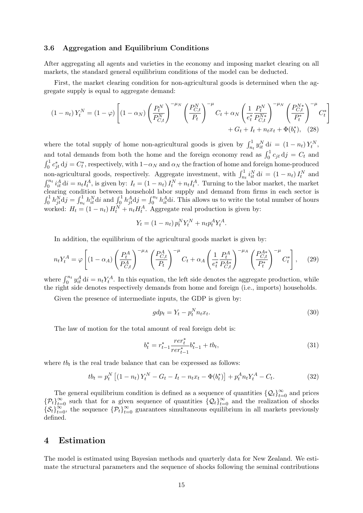#### 3.6 Aggregation and Equilibrium Conditions

After aggregating all agents and varieties in the economy and imposing market clearing on all markets, the standard general equilibrium conditions of the model can be deducted.

First, the market clearing condition for non-agricultural goods is determined when the aggregate supply is equal to aggregate demand:

$$
(1 - n_t) Y_t^N = (1 - \varphi) \left[ (1 - \alpha_N) \left( \frac{P_t^N}{P_{C,t}^N} \right)^{-\mu_N} \left( \frac{P_{C,t}^N}{P_t} \right)^{-\mu} C_t + \alpha_N \left( \frac{1}{e_t^*} \frac{P_t^N}{P_{C,t}^N} \right)^{-\mu_N} \left( \frac{P_{C,t}^N}{P_t^*} \right)^{-\mu} C_t^* \right] + G_t + I_t + n_t x_t + \Phi(b_t^*), \quad (28)
$$

where the total supply of home non-agricultural goods is given by  $\int_{n_t}^1 y_{it}^N dt = (1 - n_t) Y_t^N$ , and total demands from both the home and the foreign economy read as  $\int_0^1 c_{jt} \, dj = C_t$  and  $\int_0^1 c_{jt}^* d j = C_t^*$ , respectively, with  $1-\alpha_N$  and  $\alpha_N$  the fraction of home and foreign home-produced non-agricultural goods, respectively. Aggregate investment, with  $\int_{n_t}^1 i_{it}^N dt = (1 - n_t) I_t^N$  and  $\int_0^{n_t} i_t^A dt = n_t I_t^A$ , is given by:  $I_t = (1 - n_t) I_t^N + n_t I_t^A$ . Turning to the labor market, the market clearing condition between household labor supply and demand from firms in each sector is  $\int_0^1 h_{jt}^N \mathrm{d}j = \int_{n_t}^1 h_{it}^N \mathrm{d}i$  and  $\int_0^1 h_{jt}^A \mathrm{d}j = \int_0^{n_t} h_{it}^A \mathrm{d}i$ . This allows us to write the total number of hours worked:  $H_t = (1 - n_t) H_t^N + n_t H_t^A$ . Aggregate real production is given by:

$$
Y_t = (1 - n_t) p_t^N Y_t^N + n_t p_t^A Y_t^A.
$$

In addition, the equilibrium of the agricultural goods market is given by:

$$
n_t Y_t^A = \varphi \left[ (1 - \alpha_A) \left( \frac{P_t^A}{P_{C,t}^A} \right)^{-\mu_A} \left( \frac{P_{C,t}^A}{P_t} \right)^{-\mu} C_t + \alpha_A \left( \frac{1}{e_t^*} \frac{P_t^A}{P_{C,t}^{A*}} \right)^{-\mu_A} \left( \frac{P_{C,t}^A}{P_t^*} \right)^{-\mu} C_t^* \right], \quad (29)
$$

where  $\int_0^{n_t} y_{it}^A \, dt = n_t Y_t^A$ . In this equation, the left side denotes the aggregate production, while the right side denotes respectively demands from home and foreign (i.e., imports) households.

Given the presence of intermediate inputs, the GDP is given by:

$$
gdp_t = Y_t - p_t^N n_t x_t.
$$
\n
$$
(30)
$$

The law of motion for the total amount of real foreign debt is:

$$
b_t^* = r_{t-1}^* \frac{r e r_t^*}{r e r_{t-1}^*} b_{t-1}^* + t b_t,
$$
\n(31)

where  $tb_t$  is the real trade balance that can be expressed as follows:

$$
tb_t = p_t^N \left[ (1 - n_t) Y_t^N - G_t - I_t - n_t x_t - \Phi(b_t^*) \right] + p_t^A n_t Y_t^A - C_t.
$$
 (32)

The general equilibrium condition is defined as a sequence of quantities  $\{Q_t\}_{t=0}^{\infty}$  and prices  $\{\mathcal{P}_t\}_{t=0}^\infty$  such that for a given sequence of quantities  $\{\mathcal{Q}_t\}_{t=0}^\infty$  and the realization of shocks  $\{\mathcal{S}_t\}_{t=0}^{\infty}$ , the sequence  $\{\mathcal{P}_t\}_{t=0}^{\infty}$  guarantees simultaneous equilibrium in all markets previously defined.

## 4 Estimation

The model is estimated using Bayesian methods and quarterly data for New Zealand. We estimate the structural parameters and the sequence of shocks following the seminal contributions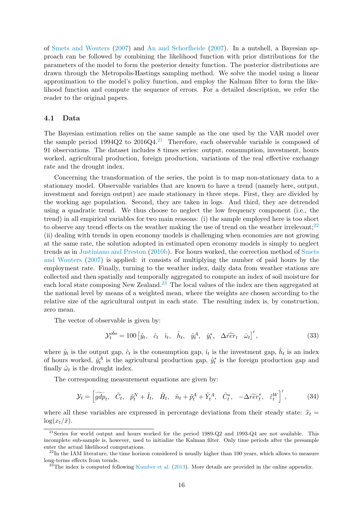of Smets and Wouters (2007) and An and Schorfheide (2007). In a nutshell, a Bayesian approach can be followed by combining the likelihood function with prior distributions for the parameters of the model to form the posterior density function. The posterior distributions are drawn through the Metropolis-Hastings sampling method. We solve the model using a linear approximation to the model's policy function, and employ the Kalman filter to form the likelihood function and compute the sequence of errors. For a detailed description, we refer the reader to the original papers.

## 4.1 Data

The Bayesian estimation relies on the same sample as the one used by the VAR model over the sample period  $1994Q2$  to  $2016Q4<sup>21</sup>$  Therefore, each observable variable is composed of 91 observations. The dataset includes 8 times series: output, consumption, investment, hours worked, agricultural production, foreign production, variations of the real effective exchange rate and the drought index.

Concerning the transformation of the series, the point is to map non-stationary data to a stationary model. Observable variables that are known to have a trend (namely here, output, investment and foreign output) are made stationary in three steps. First, they are divided by the working age population. Second, they are taken in logs. And third, they are detrended using a quadratic trend. We thus choose to neglect the low frequency component (i.e., the trend) in all empirical variables for two main reasons: (i) the sample employed here is too short to observe any trend effects on the weather making the use of trend on the weather irrelevant; $^{22}$ (ii) dealing with trends in open economy models is challenging when economies are not growing at the same rate, the solution adopted in estimated open economy models is simply to neglect trends as in Justiniano and Preston (2010b). For hours worked, the correction method of Smets and Wouters (2007) is applied: it consists of multiplying the number of paid hours by the employment rate. Finally, turning to the weather index, daily data from weather stations are collected and then spatially and temporally aggregated to compute an index of soil moisture for each local state composing New Zealand.<sup>23</sup> The local values of the index are then aggregated at the national level by means of a weighted mean, where the weights are chosen according to the relative size of the agricultural output in each state. The resulting index is, by construction, zero mean.

The vector of observable is given by:

$$
\mathcal{Y}_t^{obs} = 100 \left[ \hat{y}_t, \quad \hat{c}_t \quad \hat{i}_t, \quad \hat{h}_t, \quad \hat{y}_t^A, \quad \hat{y}_t^*, \quad \Delta \widehat{r}\widehat{er}_t \quad \hat{\omega}_t \right], \tag{33}
$$

where  $\hat{y}_t$  is the output gap,  $\hat{c}_t$  is the consumption gap,  $\hat{i}_t$  is the investment gap,  $\hat{h}_t$  is an index of hours worked,  $\hat{y}_t^A$  is the agricultural production gap,  $\hat{y}_t^*$  is the foreign production gap and finally  $\hat{\omega}_t$  is the drought index.

The corresponding measurement equations are given by:

$$
\mathcal{Y}_t = \left[ \widetilde{gdp}_t, \quad \widetilde{C}_t, \quad \widetilde{p}_t^N + \widetilde{I}_t, \quad \widetilde{H}_t, \quad \widetilde{n}_t + \widetilde{p}_t^A + \widetilde{Y}_t^A, \quad \widetilde{C}_t^*, \quad -\Delta \widetilde{r} \widetilde{e} \widetilde{r}_t^*, \quad \widetilde{\varepsilon}_t^W \right]^{\prime},\tag{34}
$$

where all these variables are expressed in percentage deviations from their steady state:  $\tilde{x}_t$  =  $\log(x_t/\bar{x})$ .

<sup>&</sup>lt;sup>21</sup>Series for world output and hours worked for the period 1989-Q2 and 1993-Q4 are not available. This incomplete sub-sample is, however, used to initialize the Kalman filter. Only time periods after the presample enter the actual likelihood computations.

 $^{22}$ In the IAM literature, the time horizon considered is usually higher than 100 years, which allows to measure long-terms effects from trends.

 $^{23}$ The index is computed following Kamber et al. (2013). More details are provided in the online appendix.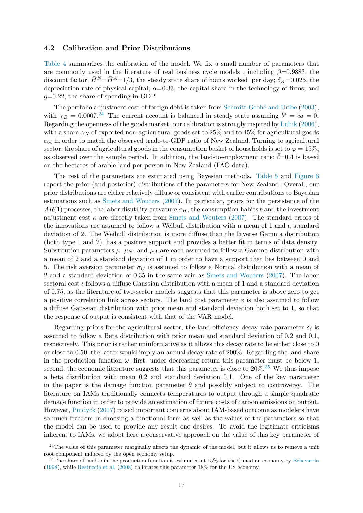#### 4.2 Calibration and Prior Distributions

Table 4 summarizes the calibration of the model. We fix a small number of parameters that are commonly used in the literature of real business cycle models, including  $\beta$ =0.9883, the discount factor;  $\bar{H}^N = \bar{H}^A = 1/3$ , the steady state share of hours worked per day;  $\delta_K = 0.025$ , the depreciation rate of physical capital;  $\alpha=0.33$ , the capital share in the technology of firms; and  $g=0.22$ , the share of spending in GDP.

The portfolio adjustment cost of foreign debt is taken from Schmitt-Grohé and Uribe (2003), with  $\chi_B = 0.0007$ .<sup>24</sup> The current account is balanced in steady state assuming  $\bar{b}^* = \bar{c}\bar{a} = 0$ . Regarding the openness of the goods market, our calibration is strongly inspired by Lubik (2006), with a share  $\alpha_N$  of exported non-agricultural goods set to 25% and to 45% for agricultural goods  $\alpha_A$  in order to match the observed trade-to-GDP ratio of New Zealand. Turning to agricultural sector, the share of agricultural goods in the consumption basket of households is set to  $\varphi = 15\%$ , as observed over the sample period. In addition, the land-to-employment ratio  $\ell$ =0.4 is based on the hectares of arable land per person in New Zealand (FAO data).

The rest of the parameters are estimated using Bayesian methods. Table 5 and Figure 6 report the prior (and posterior) distributions of the parameters for New Zealand. Overall, our prior distributions are either relatively diffuse or consistent with earlier contributions to Bayesian estimations such as Smets and Wouters (2007). In particular, priors for the persistence of the  $AR(1)$  processes, the labor disutility curvature  $\sigma_H$ , the consumption habits b and the investment adjustment cost  $\kappa$  are directly taken from Smets and Wouters (2007). The standard errors of the innovations are assumed to follow a Weibull distribution with a mean of 1 and a standard deviation of 2. The Weibull distribution is more diffuse than the Inverse Gamma distribution (both type 1 and 2), has a positive support and provides a better fit in terms of data density. Substitution parameters  $\mu$ ,  $\mu$ <sub>N</sub>, and  $\mu$ <sub>A</sub> are each assumed to follow a Gamma distribution with a mean of 2 and a standard deviation of 1 in order to have a support that lies between 0 and 5. The risk aversion parameter  $\sigma_C$  is assumed to follow a Normal distribution with a mean of 2 and a standard deviation of 0.35 in the same vein as Smets and Wouters (2007). The labor sectoral cost  $\iota$  follows a diffuse Gaussian distribution with a mean of 1 and a standard deviation of 0.75, as the literature of two-sector models suggests that this parameter is above zero to get a positive correlation link across sectors. The land cost parameter  $\phi$  is also assumed to follow a diffuse Gaussian distribution with prior mean and standard deviation both set to 1, so that the response of output is consistent with that of the VAR model.

Regarding priors for the agricultural sector, the land efficiency decay rate parameter  $\delta_{\ell}$  is assumed to follow a Beta distribution with prior mean and standard deviation of 0.2 and 0.1, respectively. This prior is rather uninformative as it allows this decay rate to be either close to 0 or close to 0.50, the latter would imply an annual decay rate of 200%. Regarding the land share in the production function  $\omega$ , first, under decreasing return this parameter must be below 1, second, the economic literature suggests that this parameter is close to  $20\%$ .<sup>25</sup> We thus impose a beta distribution with mean 0.2 and standard deviation 0.1. One of the key parameter in the paper is the damage function parameter  $\theta$  and possibly subject to controversy. The literature on IAMs traditionally connects temperatures to output through a simple quadratic damage function in order to provide an estimation of future costs of carbon emissions on output. However, Pindyck (2017) raised important concerns about IAM-based outcome as modelers have so much freedom in choosing a functional form as well as the values of the parameters so that the model can be used to provide any result one desires. To avoid the legitimate criticisms inherent to IAMs, we adopt here a conservative approach on the value of this key parameter of

<sup>&</sup>lt;sup>24</sup>The value of this parameter marginally affects the dynamic of the model, but it allows us to remove a unit root component induced by the open economy setup.

<sup>&</sup>lt;sup>25</sup>The share of land  $\omega$  in the production function is estimated at 15% for the Canadian economy by Echevarría (1998), while Restuccia et al. (2008) calibrates this parameter 18% for the US economy.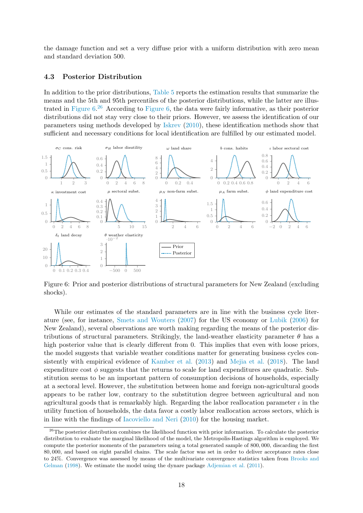the damage function and set a very diffuse prior with a uniform distribution with zero mean and standard deviation 500.

#### 4.3 Posterior Distribution

In addition to the prior distributions, Table 5 reports the estimation results that summarize the means and the 5th and 95th percentiles of the posterior distributions, while the latter are illustrated in Figure 6. <sup>26</sup> According to Figure 6, the data were fairly informative, as their posterior distributions did not stay very close to their priors. However, we assess the identification of our parameters using methods developed by Iskrev (2010), these identification methods show that sufficient and necessary conditions for local identification are fulfilled by our estimated model.



Figure 6: Prior and posterior distributions of structural parameters for New Zealand (excluding shocks).

While our estimates of the standard parameters are in line with the business cycle literature (see, for instance, Smets and Wouters (2007) for the US economy or Lubik (2006) for New Zealand), several observations are worth making regarding the means of the posterior distributions of structural parameters. Strikingly, the land-weather elasticity parameter  $\theta$  has a high posterior value that is clearly different from 0. This implies that even with loose priors, the model suggests that variable weather conditions matter for generating business cycles consistently with empirical evidence of Kamber et al. (2013) and Mejia et al. (2018). The land expenditure cost  $\phi$  suggests that the returns to scale for land expenditures are quadratic. Substitution seems to be an important pattern of consumption decisions of households, especially at a sectoral level. However, the substitution between home and foreign non-agricultural goods appears to be rather low, contrary to the substitution degree between agricultural and non agricultural goods that is remarkably high. Regarding the labor reallocation parameter  $\iota$  in the utility function of households, the data favor a costly labor reallocation across sectors, which is in line with the findings of Iacoviello and Neri (2010) for the housing market.

 $26$ The posterior distribution combines the likelihood function with prior information. To calculate the posterior distribution to evaluate the marginal likelihood of the model, the Metropolis-Hastings algorithm is employed. We compute the posterior moments of the parameters using a total generated sample of 800, 000, discarding the first 80, 000, and based on eight parallel chains. The scale factor was set in order to deliver acceptance rates close to 24%. Convergence was assessed by means of the multivariate convergence statistics taken from Brooks and Gelman (1998). We estimate the model using the dynare package Adjemian et al. (2011).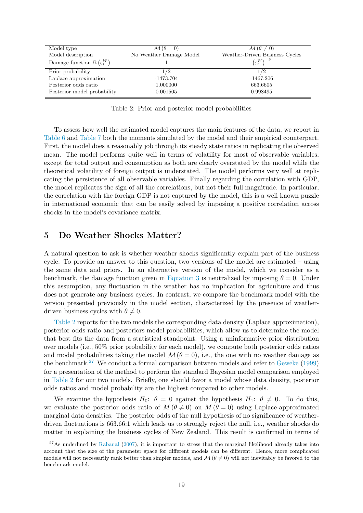| Model type                                | $\mathcal{M}(\theta=0)$ | $\mathcal{M}(\theta \neq 0)$             |
|-------------------------------------------|-------------------------|------------------------------------------|
| Model description                         | No Weather Damage Model | Weather-Driven Business Cycles           |
| Damage function $\Omega(\varepsilon_t^W)$ |                         | $\left(\varepsilon_t^W\right)^{-\theta}$ |
| Prior probability                         | 1/2                     | 1/2                                      |
| Laplace approximation                     | $-1473.704$             | -1467.206                                |
| Posterior odds ratio                      | 1.000000                | 663.6605                                 |
| Posterior model probability               | 0.001505                | 0.998495                                 |

Table 2: Prior and posterior model probabilities

To assess how well the estimated model captures the main features of the data, we report in Table 6 and Table 7 both the moments simulated by the model and their empirical counterpart. First, the model does a reasonably job through its steady state ratios in replicating the observed mean. The model performs quite well in terms of volatility for most of observable variables, except for total output and consumption as both are clearly overstated by the model while the theoretical volatility of foreign output is understated. The model performs very well at replicating the persistence of all observable variables. Finally regarding the correlation with GDP, the model replicates the sign of all the correlations, but not their full magnitude. In particular, the correlation with the foreign GDP is not captured by the model, this is a well known puzzle in international economic that can be easily solved by imposing a positive correlation across shocks in the model's covariance matrix.

## 5 Do Weather Shocks Matter?

A natural question to ask is whether weather shocks significantly explain part of the business cycle. To provide an answer to this question, two versions of the model are estimated – using the same data and priors. In an alternative version of the model, which we consider as a benchmark, the damage function given in Equation 3 is neutralized by imposing  $\theta = 0$ . Under this assumption, any fluctuation in the weather has no implication for agriculture and thus does not generate any business cycles. In contrast, we compare the benchmark model with the version presented previously in the model section, characterized by the presence of weatherdriven business cycles with  $\theta \neq 0$ .

Table 2 reports for the two models the corresponding data density (Laplace approximation), posterior odds ratio and posteriors model probabilities, which allow us to determine the model that best fits the data from a statistical standpoint. Using a uninformative prior distribution over models (i.e., 50% prior probability for each model), we compute both posterior odds ratios and model probabilities taking the model  $\mathcal{M}(\theta = 0)$ , i.e., the one with no weather damage as the benchmark.<sup>27</sup> We conduct a formal comparison between models and refer to Geweke (1999) for a presentation of the method to perform the standard Bayesian model comparison employed in Table 2 for our two models. Briefly, one should favor a model whose data density, posterior odds ratios and model probability are the highest compared to other models.

We examine the hypothesis  $H_0$ :  $\theta = 0$  against the hypothesis  $H_1$ :  $\theta \neq 0$ . To do this, we evaluate the posterior odds ratio of  $M(\theta \neq 0)$  on  $M(\theta = 0)$  using Laplace-approximated marginal data densities. The posterior odds of the null hypothesis of no significance of weatherdriven fluctuations is 663.66:1 which leads us to strongly reject the null, i.e., weather shocks do matter in explaining the business cycles of New Zealand. This result is confirmed in terms of

 $^{27}$ As underlined by Rabanal (2007), it is important to stress that the marginal likelihood already takes into account that the size of the parameter space for different models can be different. Hence, more complicated models will not necessarily rank better than simpler models, and  $\mathcal{M}(\theta \neq 0)$  will not inevitably be favored to the benchmark model.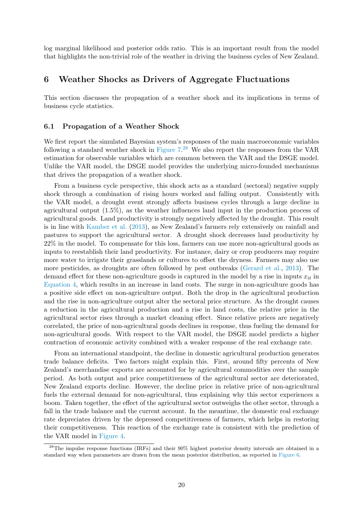log marginal likelihood and posterior odds ratio. This is an important result from the model that highlights the non-trivial role of the weather in driving the business cycles of New Zealand.

## 6 Weather Shocks as Drivers of Aggregate Fluctuations

This section discusses the propagation of a weather shock and its implications in terms of business cycle statistics.

#### 6.1 Propagation of a Weather Shock

We first report the simulated Bayesian system's responses of the main macroeconomic variables following a standard weather shock in Figure  $7.^{28}$  We also report the responses from the VAR estimation for observable variables which are common between the VAR and the DSGE model. Unlike the VAR model, the DSGE model provides the underlying micro-founded mechanisms that drives the propagation of a weather shock.

From a business cycle perspective, this shock acts as a standard (sectoral) negative supply shock through a combination of rising hours worked and falling output. Consistently with the VAR model, a drought event strongly affects business cycles through a large decline in agricultural output (1.5%), as the weather influences land input in the production process of agricultural goods. Land productivity is strongly negatively affected by the drought. This result is in line with Kamber et al. (2013), as New Zealand's farmers rely extensively on rainfall and pastures to support the agricultural sector. A drought shock decreases land productivity by 22% in the model. To compensate for this loss, farmers can use more non-agricultural goods as inputs to reestablish their land productivity. For instance, dairy or crop producers may require more water to irrigate their grasslands or cultures to offset the dryness. Farmers may also use more pesticides, as droughts are often followed by pest outbreaks (Gerard et al., 2013). The demand effect for these non-agriculture goods is captured in the model by a rise in inputs  $x_{it}$  in Equation 4, which results in an increase in land costs. The surge in non-agriculture goods has a positive side effect on non-agriculture output. Both the drop in the agricultural production and the rise in non-agriculture output alter the sectoral price structure. As the drought causes a reduction in the agricultural production and a rise in land costs, the relative price in the agricultural sector rises through a market cleaning effect. Since relative prices are negatively correlated, the price of non-agricultural goods declines in response, thus fueling the demand for non-agricultural goods. With respect to the VAR model, the DSGE model predicts a higher contraction of economic activity combined with a weaker response of the real exchange rate.

From an international standpoint, the decline in domestic agricultural production generates trade balance deficits. Two factors might explain this. First, around fifty percents of New Zealand's merchandise exports are accounted for by agricultural commodities over the sample period. As both output and price competitiveness of the agricultural sector are deteriorated, New Zealand exports decline. However, the decline price in relative price of non-agricultural fuels the external demand for non-agricultural, thus explaining why this sector experiences a boom. Taken together, the effect of the agricultural sector outweighs the other sector, through a fall in the trade balance and the current account. In the meantime, the domestic real exchange rate depreciates driven by the depressed competitiveness of farmers, which helps in restoring their competitiveness. This reaction of the exchange rate is consistent with the prediction of the VAR model in Figure 4.

<sup>&</sup>lt;sup>28</sup>The impulse response functions (IRFs) and their 90% highest posterior density intervals are obtained in a standard way when parameters are drawn from the mean posterior distribution, as reported in Figure 6.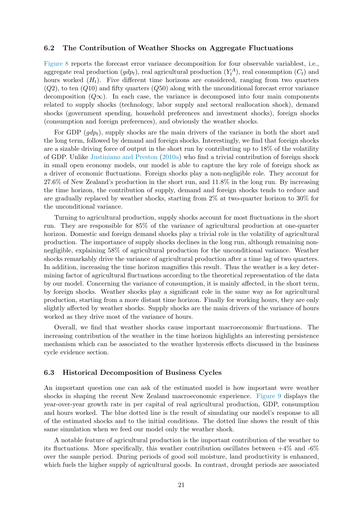#### 6.2 The Contribution of Weather Shocks on Aggregate Fluctuations

Figure 8 reports the forecast error variance decomposition for four observable variablest, i.e., aggregate real production  $(gdp_t)$ , real agricultural production  $(Y_t^A)$ , real consumption  $(C_t)$  and hours worked  $(H_t)$ . Five different time horizons are considered, ranging from two quarters  $(Q2)$ , to ten  $(Q10)$  and fifty quarters  $(Q50)$  along with the unconditional forecast error variance decomposition  $(Q\infty)$ . In each case, the variance is decomposed into four main components related to supply shocks (technology, labor supply and sectoral reallocation shock), demand shocks (government spending, household preferences and investment shocks), foreign shocks (consumption and foreign preferences), and obviously the weather shocks.

For GDP  $(qdp_t)$ , supply shocks are the main drivers of the variance in both the short and the long term, followed by demand and foreign shocks. Interestingly, we find that foreign shocks are a sizable driving force of output in the short run by contributing up to 18% of the volatility of GDP. Unlike Justiniano and Preston (2010a) who find a trivial contribution of foreign shock in small open economy models, our model is able to capture the key role of foreign shock as a driver of economic fluctuations. Foreign shocks play a non-negligible role. They account for 27.6% of New Zealand's production in the short run, and 11.8% in the long run. By increasing the time horizon, the contribution of supply, demand and foreign shocks tends to reduce and are gradually replaced by weather shocks, starting from 2% at two-quarter horizon to 30% for the unconditional variance.

Turning to agricultural production, supply shocks account for most fluctuations in the short run. They are responsible for 85% of the variance of agricultural production at one-quarter horizon. Domestic and foreign demand shocks play a trivial role in the volatility of agricultural production. The importance of supply shocks declines in the long run, although remaining nonnegligible, explaining 58% of agricultural production for the unconditional variance. Weather shocks remarkably drive the variance of agricultural production after a time lag of two quarters. In addition, increasing the time horizon magnifies this result. Thus the weather is a key determining factor of agricultural fluctuations according to the theoretical representation of the data by our model. Concerning the variance of consumption, it is mainly affected, in the short term, by foreign shocks. Weather shocks play a significant role in the same way as for agricultural production, starting from a more distant time horizon. Finally for working hours, they are only slightly affected by weather shocks. Supply shocks are the main drivers of the variance of hours worked as they drive most of the variance of hours.

Overall, we find that weather shocks cause important macroeconomic fluctuations. The increasing contribution of the weather in the time horizon highlights an interesting persistence mechanism which can be associated to the weather hysteresis effects discussed in the business cycle evidence section.

#### 6.3 Historical Decomposition of Business Cycles

An important question one can ask of the estimated model is how important were weather shocks in shaping the recent New Zealand macroeconomic experience. Figure 9 displays the year-over-year growth rate in per capital of real agricultural production, GDP, consumption and hours worked. The blue dotted line is the result of simulating our model's response to all of the estimated shocks and to the initial conditions. The dotted line shows the result of this same simulation when we feed our model only the weather shock.

A notable feature of agricultural production is the important contribution of the weather to its fluctuations. More specifically, this weather contribution oscillates between  $+4\%$  and  $-6\%$ over the sample period. During periods of good soil moisture, land productivity is enhanced, which fuels the higher supply of agricultural goods. In contrast, drought periods are associated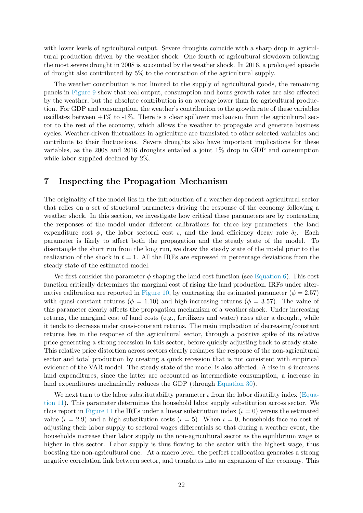with lower levels of agricultural output. Severe droughts coincide with a sharp drop in agricultural production driven by the weather shock. One fourth of agricultural slowdown following the most severe drought in 2008 is accounted by the weather shock. In 2016, a prolonged episode of drought also contributed by 5% to the contraction of the agricultural supply.

The weather contribution is not limited to the supply of agricultural goods, the remaining panels in Figure 9 show that real output, consumption and hours growth rates are also affected by the weather, but the absolute contribution is on average lower than for agricultural production. For GDP and consumption, the weather's contribution to the growth rate of these variables oscillates between  $+1\%$  to  $-1\%$ . There is a clear spillover mechanism from the agricultural sector to the rest of the economy, which allows the weather to propagate and generate business cycles. Weather-driven fluctuations in agriculture are translated to other selected variables and contribute to their fluctuations. Severe droughts also have important implications for these variables, as the 2008 and 2016 droughts entailed a joint 1% drop in GDP and consumption while labor supplied declined by 2%.

## 7 Inspecting the Propagation Mechanism

The originality of the model lies in the introduction of a weather-dependent agricultural sector that relies on a set of structural parameters driving the response of the economy following a weather shock. In this section, we investigate how critical these parameters are by contrasting the responses of the model under different calibrations for three key parameters: the land expenditure cost  $\phi$ , the labor sectoral cost  $\iota$ , and the land efficiency decay rate  $\delta_{\ell}$ . Each parameter is likely to affect both the propagation and the steady state of the model. To disentangle the short run from the long run, we draw the steady state of the model prior to the realization of the shock in  $t = 1$ . All the IRFs are expressed in percentage deviations from the steady state of the estimated model.

We first consider the parameter  $\phi$  shaping the land cost function (see Equation 6). This cost function critically determines the marginal cost of rising the land production. IRFs under alternative calibration are reported in Figure 10, by contrasting the estimated parameter ( $\phi = 2.57$ ) with quasi-constant returns ( $\phi = 1.10$ ) and high-increasing returns ( $\phi = 3.57$ ). The value of this parameter clearly affects the propagation mechanism of a weather shock. Under increasing returns, the marginal cost of land costs (e.g., fertilizers and water) rises after a drought, while it tends to decrease under quasi-constant returns. The main implication of decreasing/constant returns lies in the response of the agricultural sector, through a positive spike of its relative price generating a strong recession in this sector, before quickly adjusting back to steady state. This relative price distortion across sectors clearly reshapes the response of the non-agricultural sector and total production by creating a quick recession that is not consistent with empirical evidence of the VAR model. The steady state of the model is also affected. A rise in  $\phi$  increases land expenditures, since the latter are accounted as intermediate consumption, a increase in land expenditures mechanically reduces the GDP (through Equation 30).

We next turn to the labor substitutability parameter  $\iota$  from the labor disutility index (Equation 11). This parameter determines the household labor supply substitution across sector. We thus report in Figure 11 the IRFs under a linear substitution index  $(\iota = 0)$  versus the estimated value ( $\iota = 2.9$ ) and a high substitution costs ( $\iota = 5$ ). When  $\iota = 0$ , households face no cost of adjusting their labor supply to sectoral wages differentials so that during a weather event, the households increase their labor supply in the non-agricultural sector as the equilibrium wage is higher in this sector. Labor supply is thus flowing to the sector with the highest wage, thus boosting the non-agricultural one. At a macro level, the perfect reallocation generates a strong negative correlation link between sector, and translates into an expansion of the economy. This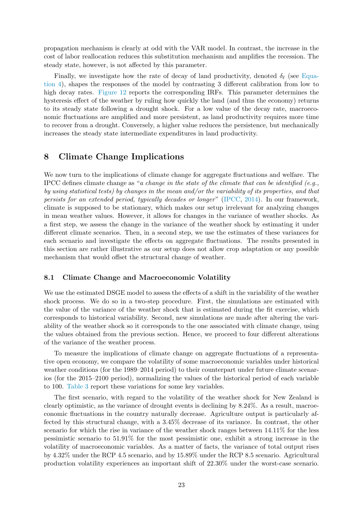propagation mechanism is clearly at odd with the VAR model. In contrast, the increase in the cost of labor reallocation reduces this substitution mechanism and amplifies the recession. The steady state, however, is not affected by this parameter.

Finally, we investigate how the rate of decay of land productivity, denoted  $\delta_{\ell}$  (see Equation 4), shapes the responses of the model by contrasting 3 different calibration from low to high decay rates. Figure 12 reports the corresponding IRFs. This parameter determines the hysteresis effect of the weather by ruling how quickly the land (and thus the economy) returns to its steady state following a drought shock. For a low value of the decay rate, macroeconomic fluctuations are amplified and more persistent, as land productivity requires more time to recover from a drought. Conversely, a higher value reduces the persistence, but mechanically increases the steady state intermediate expenditures in land productivity.

## 8 Climate Change Implications

We now turn to the implications of climate change for aggregate fluctuations and welfare. The IPCC defines climate change as "a change in the state of the climate that can be identified (e.g., by using statistical tests) by changes in the mean and/or the variability of its properties, and that persists for an extended period, typically decades or longer" (IPCC, 2014). In our framework, climate is supposed to be stationary, which makes our setup irrelevant for analyzing changes in mean weather values. However, it allows for changes in the variance of weather shocks. As a first step, we assess the change in the variance of the weather shock by estimating it under different climate scenarios. Then, in a second step, we use the estimates of these variances for each scenario and investigate the effects on aggregate fluctuations. The results presented in this section are rather illustrative as our setup does not allow crop adaptation or any possible mechanism that would offset the structural change of weather.

#### 8.1 Climate Change and Macroeconomic Volatility

We use the estimated DSGE model to assess the effects of a shift in the variability of the weather shock process. We do so in a two-step procedure. First, the simulations are estimated with the value of the variance of the weather shock that is estimated during the fit exercise, which corresponds to historical variability. Second, new simulations are made after altering the variability of the weather shock so it corresponds to the one associated with climate change, using the values obtained from the previous section. Hence, we proceed to four different alterations of the variance of the weather process.

To measure the implications of climate change on aggregate fluctuations of a representative open economy, we compare the volatility of some macroeconomic variables under historical weather conditions (for the 1989–2014 period) to their counterpart under future climate scenarios (for the 2015–2100 period), normalizing the values of the historical period of each variable to 100. Table 3 report these variations for some key variables.

The first scenario, with regard to the volatility of the weather shock for New Zealand is clearly optimistic, as the variance of drought events is declining by 8.24%. As a result, macroeconomic fluctuations in the country naturally decrease. Agriculture output is particularly affected by this structural change, with a 3.45% decrease of its variance. In contrast, the other scenario for which the rise in variance of the weather shock ranges between 14.11% for the less pessimistic scenario to 51.91% for the most pessimistic one, exhibit a strong increase in the volatility of macroeconomic variables. As a matter of facts, the variance of total output rises by 4.32% under the RCP 4.5 scenario, and by 15.89% under the RCP 8.5 scenario. Agricultural production volatility experiences an important shift of 22.30% under the worst-case scenario.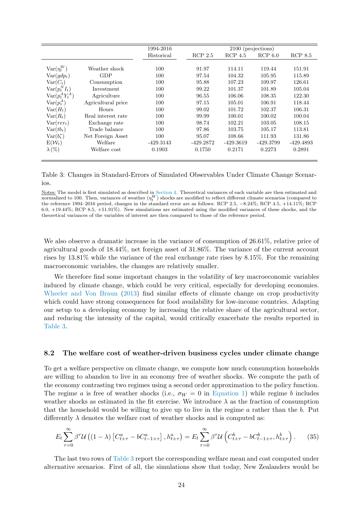|                           |                    | 1994-2016   |             | 2100 (projections) |           |             |
|---------------------------|--------------------|-------------|-------------|--------------------|-----------|-------------|
|                           |                    | Historical  | $RCP$ 2.5   | $RCP$ 4.5          | RCP 6.0   | RCP 8.5     |
|                           |                    |             |             |                    |           |             |
| $\text{Var}(\eta^W_t)$    | Weather shock      | 100         | 91.97       | 114.11             | 119.44    | 151.91      |
| $Var(gdp_t)$              | GDP                | 100         | 97.54       | 104.32             | 105.95    | 115.89      |
| $Var(C_t)$                | Consumption        | 100         | 95.88       | 107.23             | 109.97    | 126.61      |
| $\text{Var}(p_t^N I_t)$   | Investment         | 100         | 99.22       | 101.37             | 101.89    | 105.04      |
| $\text{Var}(p_t^A Y_t^A)$ | Agriculture        | 100         | 96.55       | 106.06             | 108.35    | 122.30      |
| $\text{Var}(p_t^A)$       | Agricultural price | 100         | 97.15       | 105.01             | 106.91    | 118.44      |
| $Var(H_t)$                | Hours              | 100         | 99.02       | 101.72             | 102.37    | 106.31      |
| $Var(R_t)$                | Real interest rate | 100         | 99.99       | 100.01             | 100.02    | 100.04      |
| $Var(rer_t)$              | Exchange rate      | 100         | 98.74       | 102.21             | 103.05    | 108.15      |
| $Var(tb_t)$               | Trade balance      | 100         | 97.86       | 103.75             | 105.17    | 113.81      |
| $Var(b_t^*)$              | Net Foreign Asset  | 100         | 95.07       | 108.66             | 111.93    | 131.86      |
| $E(\mathcal{W}_t)$        | Welfare            | $-429.3143$ | $-429.2872$ | -429.3619          | -429.3799 | $-429.4893$ |
| $\lambda(\%)$             | Welfare cost       | 0.1903      | 0.1750      | 0.2171             | 0.2273    | 0.2891      |

Table 3: Changes in Standard-Errors of Simulated Observables Under Climate Change Scenarios.

Notes: The model is first simulated as described in Section 4. Theoretical variances of each variable are then estimated and normalized to 100. Then, variances of weather  $(\eta_t^W)$  shocks are modified to reflect different climate scenarios (compared to the reference 1994–2016 period, changes in the standard error are as follows: RCP 2.5, −8.24%; RCP 4.5, +14.11%; RCP 6.0, +19.44%; RCP 8.5, +51.91%). New simulations are estimated using the modified variances of these shocks, and the theoretical variances of the variables of interest are then compared to those of the reference period.

We also observe a dramatic increase in the variance of consumption of 26.61%, relative price of agricultural goods of 18.44%, net foreign asset of 31.86%. The variance of the current account rises by 13.81% while the variance of the real exchange rate rises by 8.15%. For the remaining macroeconomic variables, the changes are relatively smaller.

We therefore find some important changes in the volatility of key macroeconomic variables induced by climate change, which could be very critical, especially for developing economies. Wheeler and Von Braun (2013) find similar effects of climate change on crop productivity which could have strong consequences for food availability for low-income countries. Adapting our setup to a developing economy by increasing the relative share of the agricultural sector, and reducing the intensity of the capital, would critically exacerbate the results reported in Table 3.

#### 8.2 The welfare cost of weather-driven business cycles under climate change

To get a welfare perspective on climate change, we compute how much consumption households are willing to abandon to live in an economy free of weather shocks. We compute the path of the economy contrasting two regimes using a second order approximation to the policy function. The regime a is free of weather shocks (i.e.,  $\sigma_W = 0$  in Equation 1) while regime b includes weather shocks as estimated in the fit exercise. We introduce  $\lambda$  as the fraction of consumption that the household would be willing to give up to live in the regime a rather than the b. Put differently  $\lambda$  denotes the welfare cost of weather shocks and is computed as:

$$
E_t \sum_{\tau=0}^{\infty} \beta^{\tau} \mathcal{U} \left( (1-\lambda) \left[ C_{t+\tau}^a - b C_{t-1+\tau}^a \right], h_{t+\tau}^a \right) = E_t \sum_{\tau=0}^{\infty} \beta^{\tau} \mathcal{U} \left( C_{t+\tau}^b - b C_{t-1+\tau}^b, h_{t+\tau}^b \right). \tag{35}
$$

The last two rows of Table 3 report the corresponding welfare mean and cost computed under alternative scenarios. First of all, the simulations show that today, New Zealanders would be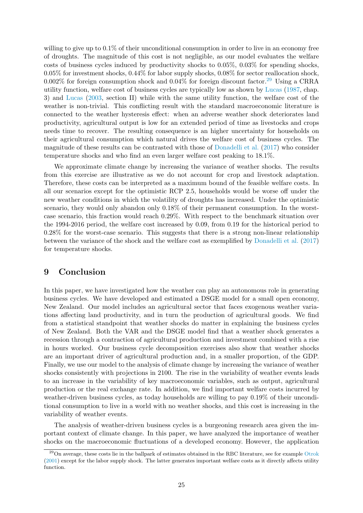willing to give up to  $0.1\%$  of their unconditional consumption in order to live in an economy free of droughts. The magnitude of this cost is not negligible, as our model evaluates the welfare costs of business cycles induced by productivity shocks to 0.05%, 0.03% for spending shocks, 0.05% for investment shocks, 0.44% for labor supply shocks, 0.08% for sector reallocation shock, 0.002% for foreign consumption shock and 0.04% for foreign discount factor.<sup>29</sup> Using a CRRA utility function, welfare cost of business cycles are typically low as shown by Lucas (1987, chap. 3) and Lucas (2003, section II) while with the same utility function, the welfare cost of the weather is non-trivial. This conflicting result with the standard macroeconomic literature is connected to the weather hysteresis effect: when an adverse weather shock deteriorates land productivity, agricultural output is low for an extended period of time as livestocks and crops needs time to recover. The resulting consequence is an higher uncertainty for households on their agricultural consumption which natural drives the welfare cost of business cycles. The magnitude of these results can be contrasted with those of Donadelli et al. (2017) who consider temperature shocks and who find an even larger welfare cost peaking to 18.1%.

We approximate climate change by increasing the variance of weather shocks. The results from this exercise are illustrative as we do not account for crop and livestock adaptation. Therefore, these costs can be interpreted as a maximum bound of the feasible welfare costs. In all our scenarios except for the optimistic RCP 2.5, households would be worse off under the new weather conditions in which the volatility of droughts has increased. Under the optimistic scenario, they would only abandon only 0.18% of their permanent consumption. In the worstcase scenario, this fraction would reach 0.29%. With respect to the benchmark situation over the 1994-2016 period, the welfare cost increased by 0.09, from 0.19 for the historical period to 0.28% for the worst-case scenario. This suggests that there is a strong non-linear relationship between the variance of the shock and the welfare cost as exemplified by Donadelli et al. (2017) for temperature shocks.

## 9 Conclusion

In this paper, we have investigated how the weather can play an autonomous role in generating business cycles. We have developed and estimated a DSGE model for a small open economy, New Zealand. Our model includes an agricultural sector that faces exogenous weather variations affecting land productivity, and in turn the production of agricultural goods. We find from a statistical standpoint that weather shocks do matter in explaining the business cycles of New Zealand. Both the VAR and the DSGE model find that a weather shock generates a recession through a contraction of agricultural production and investment combined with a rise in hours worked. Our business cycle decomposition exercises also show that weather shocks are an important driver of agricultural production and, in a smaller proportion, of the GDP. Finally, we use our model to the analysis of climate change by increasing the variance of weather shocks consistently with projections in 2100. The rise in the variability of weather events leads to an increase in the variability of key macroeconomic variables, such as output, agricultural production or the real exchange rate. In addition, we find important welfare costs incurred by weather-driven business cycles, as today households are willing to pay 0.19% of their unconditional consumption to live in a world with no weather shocks, and this cost is increasing in the variability of weather events.

The analysis of weather-driven business cycles is a burgeoning research area given the important context of climate change. In this paper, we have analyzed the importance of weather shocks on the macroeconomic fluctuations of a developed economy. However, the application

<sup>&</sup>lt;sup>29</sup>On average, these costs lie in the ballpark of estimates obtained in the RBC literature, see for example Otrok (2001) except for the labor supply shock. The latter generates important welfare costs as it directly affects utility function.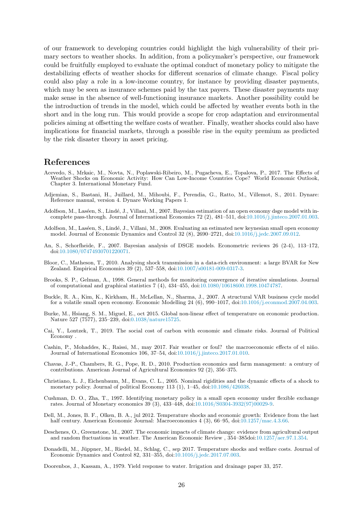of our framework to developing countries could highlight the high vulnerability of their primary sectors to weather shocks. In addition, from a policymaker's perspective, our framework could be fruitfully employed to evaluate the optimal conduct of monetary policy to mitigate the destabilizing effects of weather shocks for different scenarios of climate change. Fiscal policy could also play a role in a low-income country, for instance by providing disaster payments, which may be seen as insurance schemes paid by the tax payers. These disaster payments may make sense in the absence of well-functioning insurance markets. Another possibility could be the introduction of trends in the model, which could be affected by weather events both in the short and in the long run. This would provide a scope for crop adaptation and environmental policies aiming at offsetting the welfare costs of weather. Finally, weather shocks could also have implications for financial markets, through a possible rise in the equity premium as predicted by the risk disaster theory in asset pricing.

## References

- Acevedo, S., Mrkaic, M., Novta, N., Poplawski-Ribeiro, M., Pugacheva, E., Topalova, P., 2017. The Effects of Weather Shocks on Economic Activity: How Can Low-Income Countries Cope? World Economic Outlook, Chapter 3. International Monetary Fund.
- Adjemian, S., Bastani, H., Juillard, M., Mihoubi, F., Perendia, G., Ratto, M., Villemot, S., 2011. Dynare: Reference manual, version 4. Dynare Working Papers 1.
- Adolfson, M., Laséen, S., Lindé, J., Villani, M., 2007. Bayesian estimation of an open economy dsge model with incomplete pass-through. Journal of International Economics 72 (2), 481–511, doi:10.1016/j.jinteco.2007.01.003.
- Adolfson, M., Laséen, S., Lindé, J., Villani, M., 2008. Evaluating an estimated new keynesian small open economy model. Journal of Economic Dynamics and Control 32 (8), 2690–2721, doi:10.1016/j.jedc.2007.09.012.
- An, S., Schorfheide, F., 2007. Bayesian analysis of DSGE models. Econometric reviews 26 (2-4), 113–172, doi:10.1080/07474930701220071.
- Bloor, C., Matheson, T., 2010. Analysing shock transmission in a data-rich environment: a large BVAR for New Zealand. Empirical Economics 39 (2), 537–558, doi:10.1007/s00181-009-0317-3.
- Brooks, S. P., Gelman, A., 1998. General methods for monitoring convergence of iterative simulations. Journal of computational and graphical statistics 7 (4), 434–455, doi:10.1080/10618600.1998.10474787.
- Buckle, R. A., Kim, K., Kirkham, H., McLellan, N., Sharma, J., 2007. A structural VAR business cycle model for a volatile small open economy. Economic Modelling 24 (6), 990–1017, doi:10.1016/j.econmod.2007.04.003.
- Burke, M., Hsiang, S. M., Miguel, E., oct 2015. Global non-linear effect of temperature on economic production. Nature 527 (7577), 235–239, doi:0.1038/nature15725.
- Cai, Y., Lontzek, T., 2019. The social cost of carbon with economic and climate risks. Journal of Political Economy .
- Cashin, P., Mohaddes, K., Raissi, M., may 2017. Fair weather or foul? the macroeconomic effects of el niño. Journal of International Economics 106, 37–54, doi:10.1016/j.jinteco.2017.01.010.
- Chavas, J.-P., Chambers, R. G., Pope, R. D., 2010. Production economics and farm management: a century of contributions. American Journal of Agricultural Economics 92 (2), 356–375.
- Christiano, L. J., Eichenbaum, M., Evans, C. L., 2005. Nominal rigidities and the dynamic effects of a shock to monetary policy. Journal of political Economy 113 (1), 1–45, doi:10.1086/426038.
- Cushman, D. O., Zha, T., 1997. Identifying monetary policy in a small open economy under flexible exchange rates. Journal of Monetary economics 39 (3), 433–448, doi:10.1016/S0304-3932(97)00029-9.
- Dell, M., Jones, B. F., Olken, B. A., jul 2012. Temperature shocks and economic growth: Evidence from the last half century. American Economic Journal: Macroeconomics 4 (3), 66–95, doi:10.1257/mac.4.3.66.
- Deschenes, O., Greenstone, M., 2007. The economic impacts of climate change: evidence from agricultural output and random fluctuations in weather. The American Economic Review , 354–385doi:10.1257/aer.97.1.354.
- Donadelli, M., Jüppner, M., Riedel, M., Schlag, C., sep 2017. Temperature shocks and welfare costs. Journal of Economic Dynamics and Control 82, 331–355, doi:10.1016/j.jedc.2017.07.003.

Doorenbos, J., Kassam, A., 1979. Yield response to water. Irrigation and drainage paper 33, 257.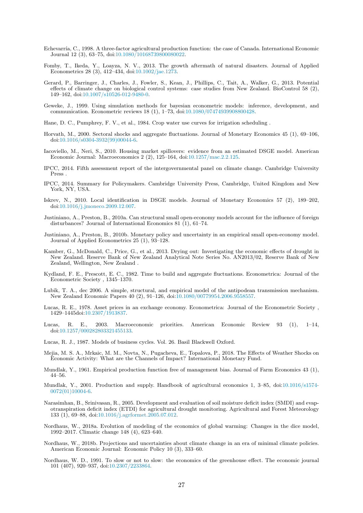- Echevarría, C., 1998. A three-factor agricultural production function: the case of Canada. International Economic Journal 12 (3), 63–75, doi:10.1080/10168739800080022.
- Fomby, T., Ikeda, Y., Loayza, N. V., 2013. The growth aftermath of natural disasters. Journal of Applied Econometrics 28 (3), 412–434, doi:10.1002/jae.1273.
- Gerard, P., Barringer, J., Charles, J., Fowler, S., Kean, J., Phillips, C., Tait, A., Walker, G., 2013. Potential effects of climate change on biological control systems: case studies from New Zealand. BioControl 58 (2), 149–162, doi:10.1007/s10526-012-9480-0.
- Geweke, J., 1999. Using simulation methods for bayesian econometric models: inference, development, and communication. Econometric reviews 18 (1), 1–73, doi:10.1080/07474939908800428.
- Hane, D. C., Pumphrey, F. V., et al., 1984. Crop water use curves for irrigation scheduling .
- Horvath, M., 2000. Sectoral shocks and aggregate fluctuations. Journal of Monetary Economics 45 (1), 69–106, doi:10.1016/s0304-3932(99)00044-6.
- Iacoviello, M., Neri, S., 2010. Housing market spillovers: evidence from an estimated DSGE model. American Economic Journal: Macroeconomics 2 (2), 125–164, doi:10.1257/mac.2.2.125.
- IPCC, 2014. Fifth assessment report of the intergovernmental panel on climate change. Cambridge University Press .
- IPCC, 2014. Summary for Policymakers. Cambridge University Press, Cambridge, United Kingdom and New York, NY, USA.
- Iskrev, N., 2010. Local identification in DSGE models. Journal of Monetary Economics 57 (2), 189–202, doi:10.1016/j.jmoneco.2009.12.007.
- Justiniano, A., Preston, B., 2010a. Can structural small open-economy models account for the influence of foreign disturbances? Journal of International Economics 81  $(1)$ , 61–74.
- Justiniano, A., Preston, B., 2010b. Monetary policy and uncertainty in an empirical small open-economy model. Journal of Applied Econometrics 25 (1), 93–128.
- Kamber, G., McDonald, C., Price, G., et al., 2013. Drying out: Investigating the economic effects of drought in New Zealand. Reserve Bank of New Zealand Analytical Note Series No. AN2013/02, Reserve Bank of New Zealand, Wellington, New Zealand .
- Kydland, F. E., Prescott, E. C., 1982. Time to build and aggregate fluctuations. Econometrica: Journal of the Econometric Society , 1345–1370.
- Lubik, T. A., dec 2006. A simple, structural, and empirical model of the antipodean transmission mechanism. New Zealand Economic Papers 40 (2), 91–126, doi:10.1080/00779954.2006.9558557.
- Lucas, R. E., 1978. Asset prices in an exchange economy. Econometrica: Journal of the Econometric Society , 1429–1445doi:10.2307/1913837.
- Lucas, R. E., 2003. Macroeconomic priorities. American Economic Review 93 (1), 1–14, doi:10.1257/000282803321455133.
- Lucas, R. J., 1987. Models of business cycles. Vol. 26. Basil Blackwell Oxford.
- Mejia, M. S. A., Mrkaic, M. M., Novta, N., Pugacheva, E., Topalova, P., 2018. The Effects of Weather Shocks on Economic Activity: What are the Channels of Impact? International Monetary Fund.
- Mundlak, Y., 1961. Empirical production function free of management bias. Journal of Farm Economics 43 (1), 44–56.
- Mundlak, Y., 2001. Production and supply. Handbook of agricultural economics 1, 3–85, doi:10.1016/s1574- 0072(01)10004-6.
- Narasimhan, B., Srinivasan, R., 2005. Development and evaluation of soil moisture deficit index (SMDI) and evapotranspiration deficit index (ETDI) for agricultural drought monitoring. Agricultural and Forest Meteorology 133 (1), 69–88, doi:10.1016/j.agrformet.2005.07.012.
- Nordhaus, W., 2018a. Evolution of modeling of the economics of global warming: Changes in the dice model, 1992–2017. Climatic change 148 (4), 623–640.
- Nordhaus, W., 2018b. Projections and uncertainties about climate change in an era of minimal climate policies. American Economic Journal: Economic Policy 10 (3), 333–60.
- Nordhaus, W. D., 1991. To slow or not to slow: the economics of the greenhouse effect. The economic journal 101 (407), 920–937, doi:10.2307/2233864.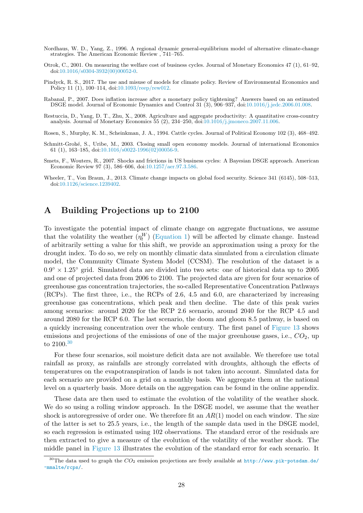- Nordhaus, W. D., Yang, Z., 1996. A regional dynamic general-equilibrium model of alternative climate-change strategies. The American Economic Review , 741–765.
- Otrok, C., 2001. On measuring the welfare cost of business cycles. Journal of Monetary Economics 47 (1), 61–92, doi:10.1016/s0304-3932(00)00052-0.
- Pindyck, R. S., 2017. The use and misuse of models for climate policy. Review of Environmental Economics and Policy 11 (1), 100–114, doi:10.1093/reep/rew012.
- Rabanal, P., 2007. Does inflation increase after a monetary policy tightening? Answers based on an estimated DSGE model. Journal of Economic Dynamics and Control 31 (3), 906–937, doi:10.1016/j.jedc.2006.01.008.
- Restuccia, D., Yang, D. T., Zhu, X., 2008. Agriculture and aggregate productivity: A quantitative cross-country analysis. Journal of Monetary Economics 55 (2), 234–250, doi:10.1016/j.jmoneco.2007.11.006.
- Rosen, S., Murphy, K. M., Scheinkman, J. A., 1994. Cattle cycles. Journal of Political Economy 102 (3), 468–492.
- Schmitt-Grohé, S., Uribe, M., 2003. Closing small open economy models. Journal of international Economics 61 (1), 163–185, doi:10.1016/s0022-1996(02)00056-9.
- Smets, F., Wouters, R., 2007. Shocks and frictions in US business cycles: A Bayesian DSGE approach. American Economic Review 97 (3), 586–606, doi:10.1257/aer.97.3.586.
- Wheeler, T., Von Braun, J., 2013. Climate change impacts on global food security. Science 341 (6145), 508–513, doi:10.1126/science.1239402.

## A Building Projections up to 2100

To investigate the potential impact of climate change on aggregate fluctuations, we assume that the volatility the weather  $(\eta_t^W)$  (Equation 1) will be affected by climate change. Instead of arbitrarily setting a value for this shift, we provide an approximation using a proxy for the drought index. To do so, we rely on monthly climatic data simulated from a circulation climate model, the Community Climate System Model (CCSM). The resolution of the dataset is a  $0.9^{\circ} \times 1.25^{\circ}$  grid. Simulated data are divided into two sets: one of historical data up to 2005 and one of projected data from 2006 to 2100. The projected data are given for four scenarios of greenhouse gas concentration trajectories, the so-called Representative Concentration Pathways (RCPs). The first three, i.e., the RCPs of 2.6, 4.5 and 6.0, are characterized by increasing greenhouse gas concentrations, which peak and then decline. The date of this peak varies among scenarios: around 2020 for the RCP 2.6 scenario, around 2040 for the RCP 4.5 and around 2080 for the RCP 6.0. The last scenario, the doom and gloom 8.5 pathway, is based on a quickly increasing concentration over the whole century. The first panel of Figure 13 shows emissions and projections of the emissions of one of the major greenhouse gases, i.e.,  $CO<sub>2</sub>$ , up to 2100.<sup>30</sup>

For these four scenarios, soil moisture deficit data are not available. We therefore use total rainfall as proxy, as rainfalls are strongly correlated with droughts, although the effects of temperatures on the evapotranspiration of lands is not taken into account. Simulated data for each scenario are provided on a grid on a monthly basis. We aggregate them at the national level on a quarterly basis. More details on the aggregation can be found in the online appendix.

These data are then used to estimate the evolution of the volatility of the weather shock. We do so using a rolling window approach. In the DSGE model, we assume that the weather shock is autoregressive of order one. We therefore fit an  $AR(1)$  model on each window. The size of the latter is set to 25.5 years, i.e., the length of the sample data used in the DSGE model, so each regression is estimated using 102 observations. The standard error of the residuals are then extracted to give a measure of the evolution of the volatility of the weather shock. The middle panel in Figure 13 illustrates the evolution of the standard error for each scenario. It

<sup>&</sup>lt;sup>30</sup>The data used to graph the  $CO_2$  emission projections are freely available at http://www.pik-potsdam.de/ ~mmalte/rcps/.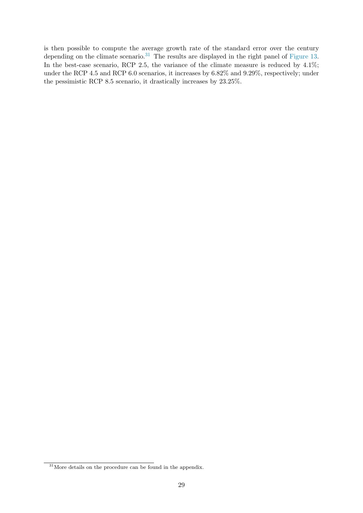is then possible to compute the average growth rate of the standard error over the century depending on the climate scenario.<sup>31</sup> The results are displayed in the right panel of Figure 13. In the best-case scenario, RCP 2.5, the variance of the climate measure is reduced by 4.1%; under the RCP 4.5 and RCP 6.0 scenarios, it increases by 6.82% and 9.29%, respectively; under the pessimistic RCP 8.5 scenario, it drastically increases by 23.25%.

<sup>&</sup>lt;sup>31</sup>More details on the procedure can be found in the appendix.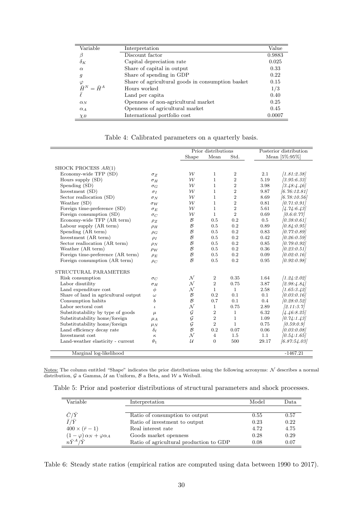| Variable                                     | Interpretation                                    | Value  |
|----------------------------------------------|---------------------------------------------------|--------|
| β                                            | Discount factor                                   | 0.9883 |
| $\delta_K$                                   | Capital depreciation rate                         | 0.025  |
| $\alpha$                                     | Share of capital in output                        | 0.33   |
| 9                                            | Share of spending in GDP                          | 0.22   |
|                                              | Share of agricultural goods in consumption basket | 0.15   |
| $\overset{\varphi}{\bar{H}}{}^N = \bar{H}^A$ | Hours worked                                      | 1/3    |
| $\bar{\ell}$                                 | Land per capita                                   | 0.40   |
| $\alpha_N$                                   | Openness of non-agricultural market               | 0.25   |
| $\alpha_A$                                   | Openness of agricultural market                   | 0.45   |
| $\chi_B$                                     | International portfolio cost                      | 0.0007 |

Table 4: Calibrated parameters on a quarterly basis.

|                                      |                 | Prior distributions   |                |                  | Posterior distribution |              |
|--------------------------------------|-----------------|-----------------------|----------------|------------------|------------------------|--------------|
|                                      |                 | Std.<br>Shape<br>Mean |                | Mean [5%:95%]    |                        |              |
|                                      |                 |                       |                |                  |                        |              |
| SHOCK PROCESS AR(1)                  |                 |                       |                |                  |                        |              |
| Economy-wide TFP (SD)                | $\sigma_Z$      | $\mathcal W$          | 1              | $\boldsymbol{2}$ | 2.1                    | [1.81:2.38]  |
| Hours supply (SD)                    | $\sigma_H$      | $\mathcal{W}$         | $\mathbf{1}$   | $\overline{2}$   | 5.19                   | [3.95:6.33]  |
| Spending (SD)                        | $\sigma_G$      | $\mathcal W$          | $\mathbf{1}$   | $\overline{2}$   | 3.98                   | [3.48:4.46]  |
| Investment (SD)                      | $\sigma_I$      | $\mathcal W$          | $\mathbf{1}$   | $\overline{2}$   | 9.87                   | [6.76:12.81] |
| Sector reallocation (SD)             | $\sigma_N$      | $\mathcal W$          | $\mathbf{1}$   | $\,2$            | 8.69                   | [6.78:10.56] |
| Weather (SD)                         | $\sigma_W$      | $\mathcal W$          | $\mathbf{1}$   | $\boldsymbol{2}$ | 0.81                   | [0.71:0.91]  |
| Foreign time-preference (SD)         | $\sigma_E$      | $\mathcal W$          | $\mathbf{1}$   | $\overline{2}$   | 5.61                   | [4.74:6.43]  |
| Foreign consumption (SD)             | $\sigma_C$      | $\mathcal W$          | $\mathbf{1}$   | $\overline{2}$   | 0.69                   | [0.6:0.77]   |
| Economy-wide TFP (AR term)           | $\rho_Z$        | $\mathcal B$          | 0.5            | 0.2              | 0.5                    | [0.38:0.61]  |
| Labour supply (AR term)              | $\rho_H$        | $\mathcal B$          | 0.5            | 0.2              | 0.89                   | [0.84:0.95]  |
| Spending (AR term)                   | $\rho_G$        | $\mathcal B$          | 0.5            | 0.2              | 0.83                   | [0.77:0.89]  |
| Investment (AR term)                 | $\rho_I$        | $\mathcal{B}$         | 0.5            | 0.2              | 0.42                   | [0.26:0.59]  |
| Sector reallocation (AR term)        | $\rho_N$        | $\mathcal B$          | 0.5            | 0.2              | 0.85                   | [0.79:0.92]  |
| Weather (AR term)                    | $\rho_W$        | $\mathcal B$          | 0.5            | 0.2              | 0.36                   | [0.23:0.51]  |
| Foreign time-preference (AR term)    | $\rho_E$        | $\mathcal{B}$         | 0.5            | 0.2              | 0.09                   | [0.02:0.16]  |
| Foreign consumption (AR term)        | $\rho_C$        | $\mathcal{B}$         | 0.5            | 0.2              | 0.95                   | [0.92:0.98]  |
| STRUCTURAL PARAMETERS                |                 |                       |                |                  |                        |              |
| Risk consumption                     | $\sigma_C$      | $\mathcal{N}$         | $\overline{2}$ | 0.35             | 1.64                   | [1.24:2.02]  |
| Labor disutility                     | $\sigma_H$      | $\cal N$              | $\overline{2}$ | 0.75             | 3.87                   | [2.98:4.84]  |
| Land expenditure cost                | $\phi$          | $\cal N$              | $\mathbf{1}$   | $\mathbf{1}$     | 2.58                   | [1.65:3.42]  |
| Share of land in agricultural output | $\omega$        | $\mathcal B$          | 0.2            | 0.1              | 0.1                    | [0.03:0.16]  |
| Consumption habits                   | b               | $\mathcal{B}$         | 0.7            | 0.1              | $0.4\,$                | [0.28:0.52]  |
| Labor sectoral cost                  | $\iota$         | $\cal N$              | $\mathbf{1}$   | 0.75             | 2.89                   | [2.11:3.7]   |
| Substitutability by type of goods    | $\mu$           | $\cal G$              | $\overline{2}$ | $\mathbf{1}$     | 6.32                   | [4.46:8.25]  |
| Substitutability home/foreign        | $\mu_A$         | $\mathcal G$          | 2              | $\mathbf{1}$     | 1.09                   | [0.74:1.43]  |
| Substitutability home/foreign        | $\mu_N$         | $\mathcal G$          | $\overline{2}$ | $\mathbf{1}$     | 0.75                   | [0.59:0.9]   |
| Land efficiency decay rate           | $\delta_{\ell}$ | $\mathcal{B}$         | 0.2            | 0.07             | 0.06                   | [0.03:0.08]  |
| Investment cost                      | $\kappa$        | $\mathcal N$          | $\overline{4}$ | 1.5              | 1.1                    | [0.54:1.65]  |
| Land-weather elasticity - current    | $\theta_1$      | $\mathcal{U}$         | $\overline{0}$ | 500              | 29.17                  | [6.87:54.03] |
| Marginal log-likelihood              |                 |                       |                |                  |                        | $-1467.21$   |

Notes: The column entitled "Shape" indicates the prior distributions using the following acronyms:  $N$  describes a normal distribution,  $G$  a Gamma,  $U$  an Uniform,  $B$  a Beta, and  $W$  a Weibull.

Table 5: Prior and posterior distributions of structural parameters and shock processes.

| Variable                                    | Interpretation                          | Model | Data |
|---------------------------------------------|-----------------------------------------|-------|------|
| $\bar{C}/\bar{Y}$                           | Ratio of consumption to output          | 0.55  | 0.57 |
| $\bar{I}/\bar{Y}$                           | Ratio of investment to output           | 0.23  | 0.22 |
| $400 \times (\bar{r} - 1)$                  | Real interest rate                      | 4.72  | 4.75 |
| $(1 - \varphi) \alpha_N + \varphi \alpha_A$ | Goods market openness                   | 0.28  | 0.29 |
| $n\bar{Y}^A/\bar{Y}$                        | Ratio of agricultural production to GDP | 0.08  | 0.07 |

Table 6: Steady state ratios (empirical ratios are computed using data between 1990 to 2017).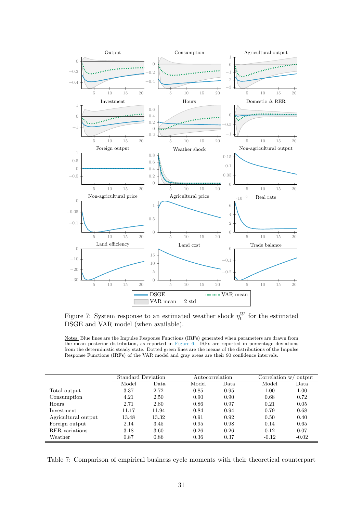

Figure 7: System response to an estimated weather shock  $\eta_t^W$  for the estimated DSGE and VAR model (when available).

Notes: Blue lines are the Impulse Response Functions (IRFs) generated when parameters are drawn from the mean posterior distribution, as reported in Figure 6. IRFs are reported in percentage deviations from the deterministic steady state. Dotted green lines are the means of the distributions of the Impulse Response Functions (IRFs) of the VAR model and gray areas are their 90 confidence intervals.

|                     | <b>Standard Deviation</b> |       | Autocorrelation |      |         | Correlation $w$<br>output |  |
|---------------------|---------------------------|-------|-----------------|------|---------|---------------------------|--|
|                     | Model                     | Data  | Model           | Data | Model   | Data                      |  |
| Total output        | 3.37                      | 2.72  | 0.85            | 0.95 | 1.00    | 1.00                      |  |
| Consumption         | 4.21                      | 2.50  | 0.90            | 0.90 | 0.68    | 0.72                      |  |
| Hours               | 2.71                      | 2.80  | 0.86            | 0.97 | 0.21    | 0.05                      |  |
| Investment          | 11.17                     | 11.94 | 0.84            | 0.94 | 0.79    | 0.68                      |  |
| Agricultural output | 13.48                     | 13.32 | 0.91            | 0.92 | 0.50    | 0.40                      |  |
| Foreign output      | 2.14                      | 3.45  | 0.95            | 0.98 | 0.14    | 0.65                      |  |
| RER variations      | 3.18                      | 3.60  | 0.26            | 0.26 | 0.12    | 0.07                      |  |
| Weather             | 0.87                      | 0.86  | 0.36            | 0.37 | $-0.12$ | $-0.02$                   |  |

Table 7: Comparison of empirical business cycle moments with their theoretical counterpart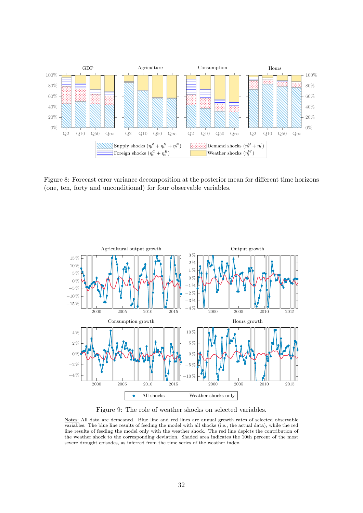

Figure 8: Forecast error variance decomposition at the posterior mean for different time horizons (one, ten, forty and unconditional) for four observable variables.



Figure 9: The role of weather shocks on selected variables.

Notes: All data are demeaned. Blue line and red lines are annual growth rates of selected observable variables. The blue line results of feeding the model with all shocks (i.e., the actual data), while the red line results of feeding the model only with the weather shock. The red line depicts the contribution of the weather shock to the corresponding deviation. Shaded area indicates the 10th percent of the most severe drought episodes, as inferred from the time series of the weather index.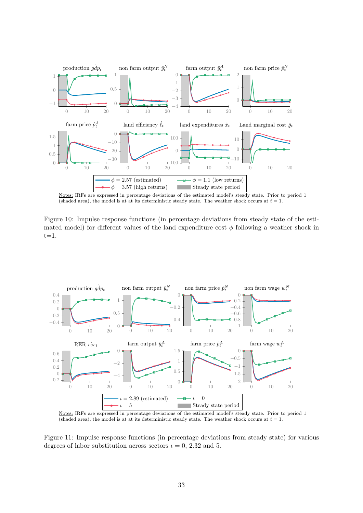

Notes: IRFs are expressed in percentage deviations of the estimated model's steady state. Prior to period 1 (shaded area), the model is at at its deterministic steady state. The weather shock occurs at  $t = 1$ .

Figure 10: Impulse response functions (in percentage deviations from steady state of the estimated model) for different values of the land expenditure cost  $\phi$  following a weather shock in  $t=1$ .



Notes: IRFs are expressed in percentage deviations of the estimated model's steady state. Prior to period 1 (shaded area), the model is at at its deterministic steady state. The weather shock occurs at  $t = 1$ .

Figure 11: Impulse response functions (in percentage deviations from steady state) for various degrees of labor substitution across sectors  $\iota = 0$ , 2.32 and 5.